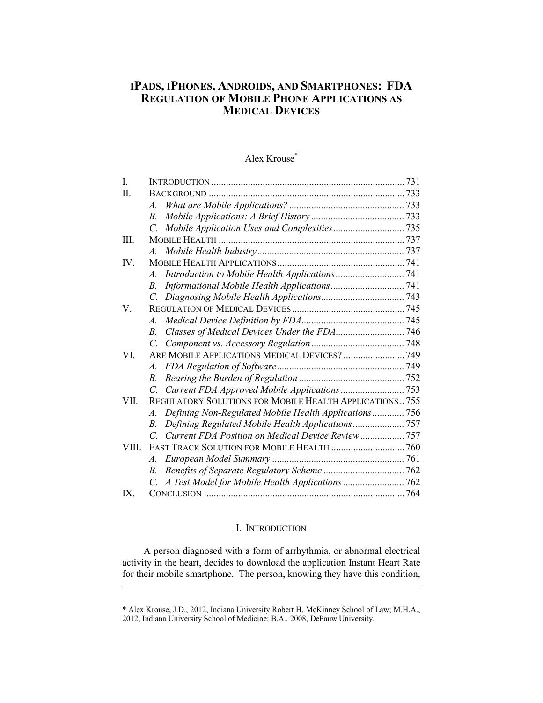# **IPADS, IPHONES, ANDROIDS, AND SMARTPHONES: FDA REGULATION OF MOBILE PHONE APPLICATIONS AS MEDICAL DEVICES**

# Alex Krouse\*

| $\mathbf{I}$ . |                                                                      |  |
|----------------|----------------------------------------------------------------------|--|
| H              |                                                                      |  |
|                | A.                                                                   |  |
|                | $B_{\cdot}$                                                          |  |
|                |                                                                      |  |
| III.           |                                                                      |  |
|                | $A_{\cdot}$                                                          |  |
| IV.            |                                                                      |  |
|                | $A_{\cdot}$                                                          |  |
|                | <i>B</i> .                                                           |  |
|                |                                                                      |  |
| V.             |                                                                      |  |
|                |                                                                      |  |
|                | $B_{\cdot}$                                                          |  |
|                | C.                                                                   |  |
| VI             | ARE MOBILE APPLICATIONS MEDICAL DEVICES?  749                        |  |
|                | A.                                                                   |  |
|                | $B_{\cdot}$                                                          |  |
|                | $\overline{C}$                                                       |  |
| VII            | <b>REGULATORY SOLUTIONS FOR MOBILE HEALTH APPLICATIONS755</b>        |  |
|                | Defining Non-Regulated Mobile Health Applications 756<br>$A_{\cdot}$ |  |
|                | Defining Regulated Mobile Health Applications757<br>B.               |  |
|                | Current FDA Position on Medical Device Review 757<br>$\mathcal{C}$   |  |
| VIII           |                                                                      |  |
|                | A.                                                                   |  |
|                | B.                                                                   |  |
|                |                                                                      |  |
| IX             |                                                                      |  |

## I. INTRODUCTION

A person diagnosed with a form of arrhythmia, or abnormal electrical activity in the heart, decides to download the application Instant Heart Rate for their mobile smartphone. The person, knowing they have this condition,

<sup>\*</sup> Alex Krouse, J.D., 2012, Indiana University Robert H. McKinney School of Law; M.H.A., 2012, Indiana University School of Medicine; B.A., 2008, DePauw University.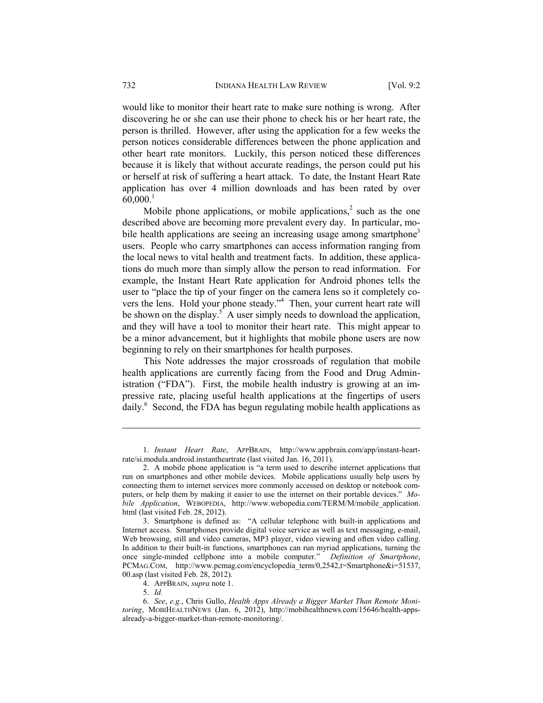would like to monitor their heart rate to make sure nothing is wrong. After discovering he or she can use their phone to check his or her heart rate, the person is thrilled. However, after using the application for a few weeks the person notices considerable differences between the phone application and other heart rate monitors. Luckily, this person noticed these differences because it is likely that without accurate readings, the person could put his or herself at risk of suffering a heart attack. To date, the Instant Heart Rate application has over 4 million downloads and has been rated by over  $60,000$ <sup>1</sup>

Mobile phone applications, or mobile applications, $\lambda^2$  such as the one described above are becoming more prevalent every day. In particular, mobile health applications are seeing an increasing usage among smartphone<sup>3</sup> users. People who carry smartphones can access information ranging from the local news to vital health and treatment facts. In addition, these applications do much more than simply allow the person to read information. For example, the Instant Heart Rate application for Android phones tells the user to "place the tip of your finger on the camera lens so it completely covers the lens. Hold your phone steady."<sup>4</sup> Then, your current heart rate will be shown on the display.<sup>5</sup> A user simply needs to download the application, and they will have a tool to monitor their heart rate. This might appear to be a minor advancement, but it highlights that mobile phone users are now beginning to rely on their smartphones for health purposes.

This Note addresses the major crossroads of regulation that mobile health applications are currently facing from the Food and Drug Administration ("FDA"). First, the mobile health industry is growing at an impressive rate, placing useful health applications at the fingertips of users daily.<sup>6</sup> Second, the FDA has begun regulating mobile health applications as

 <sup>1.</sup> *Instant Heart Rate*, APPBRAIN, http://www.appbrain.com/app/instant-heartrate/si.modula.android.instantheartrate (last visited Jan. 16, 2011).

 <sup>2.</sup> A mobile phone application is "a term used to describe internet applications that run on smartphones and other mobile devices. Mobile applications usually help users by connecting them to internet services more commonly accessed on desktop or notebook computers, or help them by making it easier to use the internet on their portable devices." *Mobile Application*, WEBOPEDIA, http://www.webopedia.com/TERM/M/mobile\_application. html (last visited Feb. 28, 2012).

 <sup>3.</sup> Smartphone is defined as: "A cellular telephone with built-in applications and Internet access. Smartphones provide digital voice service as well as text messaging, e-mail, Web browsing, still and video cameras, MP3 player, video viewing and often video calling. In addition to their built-in functions, smartphones can run myriad applications, turning the once single-minded cellphone into a mobile computer." *Definition of Smartphone*, PCMAG.COM, http://www.pcmag.com/encyclopedia\_term/0,2542,t=Smartphone&i=51537, 00.asp (last visited Feb. 28, 2012).

 <sup>4.</sup> APPBRAIN, *supra* note 1.

 <sup>5.</sup> *Id.*

 <sup>6.</sup> *See*, *e.g.*, Chris Gullo, *Health Apps Already a Bigger Market Than Remote Monitoring*, MOBIHEALTHNEWS (Jan. 6, 2012), http://mobihealthnews.com/15646/health-appsalready-a-bigger-market-than-remote-monitoring/.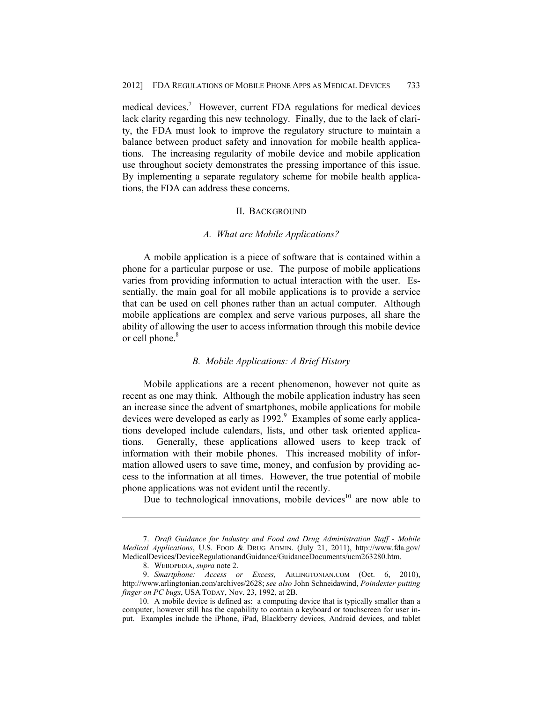medical devices.<sup>7</sup> However, current FDA regulations for medical devices lack clarity regarding this new technology. Finally, due to the lack of clarity, the FDA must look to improve the regulatory structure to maintain a balance between product safety and innovation for mobile health applications. The increasing regularity of mobile device and mobile application use throughout society demonstrates the pressing importance of this issue. By implementing a separate regulatory scheme for mobile health applications, the FDA can address these concerns.

#### II. BACKGROUND

#### *A. What are Mobile Applications?*

A mobile application is a piece of software that is contained within a phone for a particular purpose or use. The purpose of mobile applications varies from providing information to actual interaction with the user. Essentially, the main goal for all mobile applications is to provide a service that can be used on cell phones rather than an actual computer. Although mobile applications are complex and serve various purposes, all share the ability of allowing the user to access information through this mobile device or cell phone.<sup>8</sup>

#### *B. Mobile Applications: A Brief History*

Mobile applications are a recent phenomenon, however not quite as recent as one may think. Although the mobile application industry has seen an increase since the advent of smartphones, mobile applications for mobile devices were developed as early as  $1992.9$  Examples of some early applications developed include calendars, lists, and other task oriented applications. Generally, these applications allowed users to keep track of information with their mobile phones. This increased mobility of information allowed users to save time, money, and confusion by providing access to the information at all times. However, the true potential of mobile phone applications was not evident until the recently.

Due to technological innovations, mobile devices<sup>10</sup> are now able to

 <sup>7.</sup> *Draft Guidance for Industry and Food and Drug Administration Staff - Mobile Medical Applications*, U.S. FOOD & DRUG ADMIN. (July 21, 2011), http://www.fda.gov/ MedicalDevices/DeviceRegulationandGuidance/GuidanceDocuments/ucm263280.htm.

 <sup>8.</sup> WEBOPEDIA, *supra* note 2.

 <sup>9.</sup> *Smartphone: Access or Excess,* ARLINGTONIAN.COM (Oct. 6, 2010), http://www.arlingtonian.com/archives/2628; *see also* John Schneidawind, *Poindexter putting finger on PC bugs*, USA TODAY, Nov. 23, 1992, at 2B.

 <sup>10.</sup> A mobile device is defined as: a computing device that is typically smaller than a computer, however still has the capability to contain a keyboard or touchscreen for user input. Examples include the iPhone, iPad, Blackberry devices, Android devices, and tablet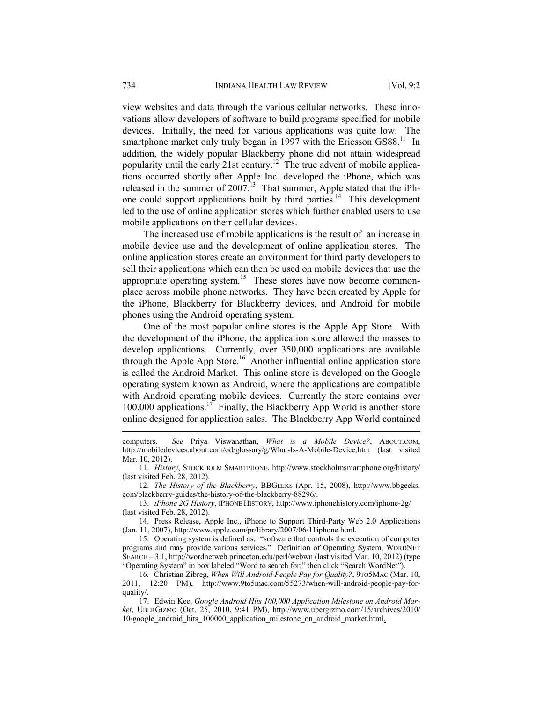view websites and data through the various cellular networks. These innovations allow developers of software to build programs specified for mobile devices. Initially, the need for various applications was quite low. The smartphone market only truly began in 1997 with the Ericsson GS88.<sup>11</sup> In addition, the widely popular Blackberry phone did not attain widespread popularity until the early 21st century.12 The true advent of mobile applications occurred shortly after Apple Inc. developed the iPhone, which was released in the summer of  $2007<sup>13</sup>$ . That summer, Apple stated that the iPhone could support applications built by third parties.14 This development led to the use of online application stores which further enabled users to use mobile applications on their cellular devices.

The increased use of mobile applications is the result of an increase in mobile device use and the development of online application stores. The online application stores create an environment for third party developers to sell their applications which can then be used on mobile devices that use the appropriate operating system.<sup>15</sup> These stores have now become commonplace across mobile phone networks. They have been created by Apple for the iPhone, Blackberry for Blackberry devices, and Android for mobile phones using the Android operating system.

One of the most popular online stores is the Apple App Store. With the development of the iPhone, the application store allowed the masses to develop applications. Currently, over 350,000 applications are available through the Apple App Store.<sup>16</sup> Another influential online application store is called the Android Market. This online store is developed on the Google operating system known as Android, where the applications are compatible with Android operating mobile devices. Currently the store contains over 100,000 applications.<sup>17</sup> Finally, the Blackberry App World is another store online designed for application sales. The Blackberry App World contained

computers. *See* Priya Viswanathan, *What is a Mobile Device?*, ABOUT.COM, http://mobiledevices.about.com/od/glossary/g/What-Is-A-Mobile-Device.htm (last visited Mar. 10, 2012).

 <sup>11.</sup> *History*, STOCKHOLM SMARTPHONE, http://www.stockholmsmartphone.org/history/ (last visited Feb. 28, 2012).

 <sup>12.</sup> *The History of the Blackberry*, BBGEEKS (Apr. 15, 2008), http://www.bbgeeks. com/blackberry-guides/the-history-of-the-blackberry-88296/.

 <sup>13.</sup> *iPhone 2G History*, IPHONE HISTORY, http://www.iphonehistory.com/iphone-2g/ (last visited Feb. 28, 2012).

 <sup>14.</sup> Press Release, Apple Inc., iPhone to Support Third-Party Web 2.0 Applications (Jan. 11, 2007), http://www.apple.com/pr/library/2007/06/11iphone.html.

 <sup>15.</sup> Operating system is defined as: "software that controls the execution of computer programs and may provide various services." Definition of Operating System, WORDNET SEARCH – 3.1, http://wordnetweb.princeton.edu/perl/webwn (last visited Mar. 10, 2012) (type "Operating System" in box labeled "Word to search for;" then click "Search WordNet").

 <sup>16.</sup> Christian Zibreg, *When Will Android People Pay for Quality?*, 9TO5MAC (Mar. 10, 2011, 12:20 PM), http://www.9to5mac.com/55273/when-will-android-people-pay-forquality/.

 <sup>17.</sup> Edwin Kee, *Google Android Hits 100,000 Application Milestone on Android Market*, UBERGIZMO (Oct. 25, 2010, 9:41 PM), http://www.ubergizmo.com/15/archives/2010/ 10/google\_android\_hits\_100000\_application\_milestone\_on\_android\_market.html.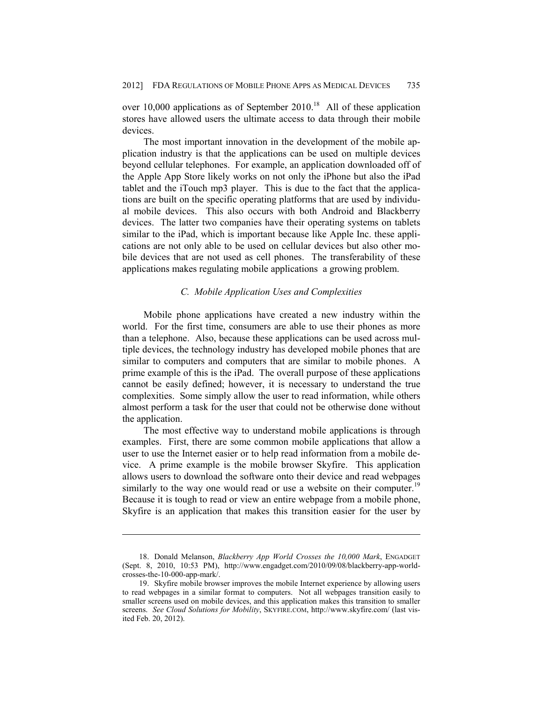over 10,000 applications as of September 2010.<sup>18</sup> All of these application stores have allowed users the ultimate access to data through their mobile devices.

The most important innovation in the development of the mobile application industry is that the applications can be used on multiple devices beyond cellular telephones. For example, an application downloaded off of the Apple App Store likely works on not only the iPhone but also the iPad tablet and the iTouch mp3 player. This is due to the fact that the applications are built on the specific operating platforms that are used by individual mobile devices. This also occurs with both Android and Blackberry devices. The latter two companies have their operating systems on tablets similar to the iPad, which is important because like Apple Inc. these applications are not only able to be used on cellular devices but also other mobile devices that are not used as cell phones. The transferability of these applications makes regulating mobile applications a growing problem.

#### *C. Mobile Application Uses and Complexities*

Mobile phone applications have created a new industry within the world. For the first time, consumers are able to use their phones as more than a telephone. Also, because these applications can be used across multiple devices, the technology industry has developed mobile phones that are similar to computers and computers that are similar to mobile phones. A prime example of this is the iPad. The overall purpose of these applications cannot be easily defined; however, it is necessary to understand the true complexities. Some simply allow the user to read information, while others almost perform a task for the user that could not be otherwise done without the application.

The most effective way to understand mobile applications is through examples. First, there are some common mobile applications that allow a user to use the Internet easier or to help read information from a mobile device. A prime example is the mobile browser Skyfire. This application allows users to download the software onto their device and read webpages similarly to the way one would read or use a website on their computer.<sup>19</sup> Because it is tough to read or view an entire webpage from a mobile phone, Skyfire is an application that makes this transition easier for the user by

 <sup>18.</sup> Donald Melanson, *Blackberry App World Crosses the 10,000 Mark*, ENGADGET (Sept. 8, 2010, 10:53 PM), http://www.engadget.com/2010/09/08/blackberry-app-worldcrosses-the-10-000-app-mark/.

 <sup>19.</sup> Skyfire mobile browser improves the mobile Internet experience by allowing users to read webpages in a similar format to computers. Not all webpages transition easily to smaller screens used on mobile devices, and this application makes this transition to smaller screens. *See Cloud Solutions for Mobility*, SKYFIRE.COM, http://www.skyfire.com/ (last visited Feb. 20, 2012).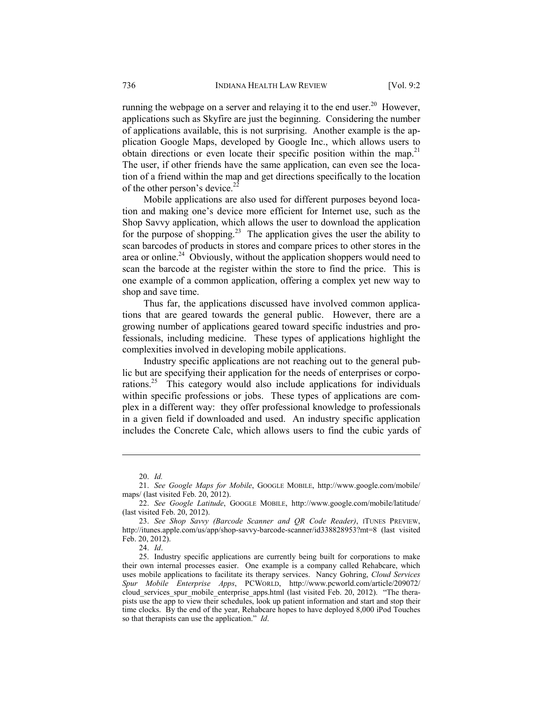running the webpage on a server and relaying it to the end user.<sup>20</sup> However, applications such as Skyfire are just the beginning. Considering the number of applications available, this is not surprising. Another example is the application Google Maps, developed by Google Inc., which allows users to obtain directions or even locate their specific position within the map.<sup>21</sup> The user, if other friends have the same application, can even see the location of a friend within the map and get directions specifically to the location of the other person's device.<sup>22</sup>

Mobile applications are also used for different purposes beyond location and making one's device more efficient for Internet use, such as the Shop Savvy application, which allows the user to download the application for the purpose of shopping.<sup>23</sup> The application gives the user the ability to scan barcodes of products in stores and compare prices to other stores in the area or online.<sup>24</sup> Obviously, without the application shoppers would need to scan the barcode at the register within the store to find the price. This is one example of a common application, offering a complex yet new way to shop and save time.

Thus far, the applications discussed have involved common applications that are geared towards the general public. However, there are a growing number of applications geared toward specific industries and professionals, including medicine. These types of applications highlight the complexities involved in developing mobile applications.

Industry specific applications are not reaching out to the general public but are specifying their application for the needs of enterprises or corporations.<sup>25</sup> This category would also include applications for individuals within specific professions or jobs. These types of applications are complex in a different way: they offer professional knowledge to professionals in a given field if downloaded and used. An industry specific application includes the Concrete Calc, which allows users to find the cubic yards of

 <sup>20.</sup> *Id.*

 <sup>21.</sup> *See Google Maps for Mobile*, GOOGLE MOBILE, http://www.google.com/mobile/ maps/ (last visited Feb. 20, 2012).

 <sup>22.</sup> *See Google Latitude*, GOOGLE MOBILE, http://www.google.com/mobile/latitude/ (last visited Feb. 20, 2012).

 <sup>23.</sup> *See Shop Savvy (Barcode Scanner and QR Code Reader)*, ITUNES PREVIEW, http://itunes.apple.com/us/app/shop-savvy-barcode-scanner/id338828953?mt=8 (last visited Feb. 20, 2012).

 <sup>24.</sup> *Id*.

 <sup>25.</sup> Industry specific applications are currently being built for corporations to make their own internal processes easier. One example is a company called Rehabcare, which uses mobile applications to facilitate its therapy services. Nancy Gohring, *Cloud Services Spur Mobile Enterprise Apps*, PCWORLD, http://www.pcworld.com/article/209072/ cloud services spur mobile enterprise apps.html (last visited Feb. 20, 2012). "The therapists use the app to view their schedules, look up patient information and start and stop their time clocks. By the end of the year, Rehabcare hopes to have deployed 8,000 iPod Touches so that therapists can use the application." *Id*.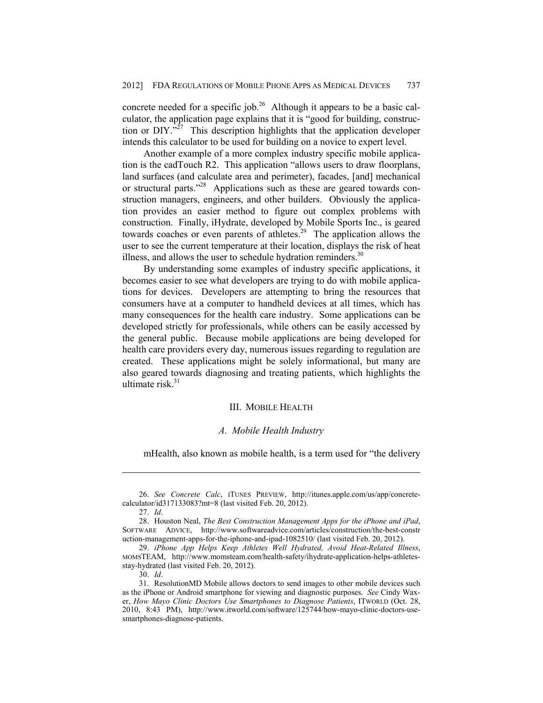concrete needed for a specific job.<sup>26</sup> Although it appears to be a basic calculator, the application page explains that it is "good for building, construction or  $DIV$ .<sup>27</sup> This description highlights that the application developer intends this calculator to be used for building on a novice to expert level.

Another example of a more complex industry specific mobile application is the cadTouch R2. This application "allows users to draw floorplans, land surfaces (and calculate area and perimeter), facades, [and] mechanical or structural parts."<sup>28</sup> Applications such as these are geared towards construction managers, engineers, and other builders. Obviously the application provides an easier method to figure out complex problems with construction. Finally, iHydrate, developed by Mobile Sports Inc., is geared towards coaches or even parents of athletes.<sup>29</sup> The application allows the user to see the current temperature at their location, displays the risk of heat illness, and allows the user to schedule hydration reminders. $30$ 

By understanding some examples of industry specific applications, it becomes easier to see what developers are trying to do with mobile applications for devices. Developers are attempting to bring the resources that consumers have at a computer to handheld devices at all times, which has many consequences for the health care industry. Some applications can be developed strictly for professionals, while others can be easily accessed by the general public. Because mobile applications are being developed for health care providers every day, numerous issues regarding to regulation are created. These applications might be solely informational, but many are also geared towards diagnosing and treating patients, which highlights the ultimate risk. $31$ 

#### III. MOBILE HEALTH

#### *A. Mobile Health Industry*

mHealth, also known as mobile health, is a term used for "the delivery

 <sup>26.</sup> *See Concrete Calc*, ITUNES PREVIEW, http://itunes.apple.com/us/app/concretecalculator/id317133083?mt=8 (last visited Feb. 20, 2012).

 <sup>27.</sup> *Id*.

 <sup>28.</sup> Houston Neal, *The Best Construction Management Apps for the iPhone and iPad*, SOFTWARE ADVICE, http://www.softwareadvice.com/articles/construction/the-best-constr uction-management-apps-for-the-iphone-and-ipad-1082510/ (last visited Feb. 20, 2012).

 <sup>29.</sup> *iPhone App Helps Keep Athletes Well Hydrated, Avoid Heat-Related Illness*, MOMSTEAM, http://www.momsteam.com/health-safety/ihydrate-application-helps-athletesstay-hydrated (last visited Feb. 20, 2012).

 <sup>30.</sup> *Id*.

 <sup>31.</sup> ResolutionMD Mobile allows doctors to send images to other mobile devices such as the iPhone or Android smartphone for viewing and diagnostic purposes. *See* Cindy Waxer, *How Mayo Clinic Doctors Use Smartphones to Diagnose Patients*, ITWORLD (Oct. 28, 2010, 8:43 PM), http://www.itworld.com/software/125744/how-mayo-clinic-doctors-usesmartphones-diagnose-patients.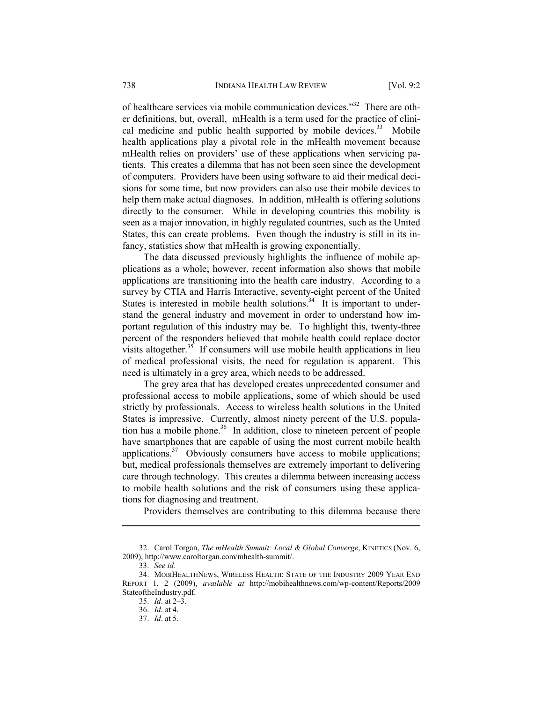of healthcare services via mobile communication devices."32 There are other definitions, but, overall, mHealth is a term used for the practice of clinical medicine and public health supported by mobile devices. $33$  Mobile health applications play a pivotal role in the mHealth movement because mHealth relies on providers' use of these applications when servicing patients. This creates a dilemma that has not been seen since the development of computers. Providers have been using software to aid their medical decisions for some time, but now providers can also use their mobile devices to help them make actual diagnoses. In addition, mHealth is offering solutions directly to the consumer. While in developing countries this mobility is seen as a major innovation, in highly regulated countries, such as the United States, this can create problems. Even though the industry is still in its infancy, statistics show that mHealth is growing exponentially.

The data discussed previously highlights the influence of mobile applications as a whole; however, recent information also shows that mobile applications are transitioning into the health care industry. According to a survey by CTIA and Harris Interactive, seventy-eight percent of the United States is interested in mobile health solutions.<sup>34</sup> It is important to understand the general industry and movement in order to understand how important regulation of this industry may be. To highlight this, twenty-three percent of the responders believed that mobile health could replace doctor visits altogether. $35$  If consumers will use mobile health applications in lieu of medical professional visits, the need for regulation is apparent. This need is ultimately in a grey area, which needs to be addressed.

The grey area that has developed creates unprecedented consumer and professional access to mobile applications, some of which should be used strictly by professionals. Access to wireless health solutions in the United States is impressive. Currently, almost ninety percent of the U.S. population has a mobile phone.<sup>36</sup> In addition, close to nineteen percent of people have smartphones that are capable of using the most current mobile health applications. $37$  Obviously consumers have access to mobile applications; but, medical professionals themselves are extremely important to delivering care through technology. This creates a dilemma between increasing access to mobile health solutions and the risk of consumers using these applications for diagnosing and treatment.

Providers themselves are contributing to this dilemma because there

 <sup>32.</sup> Carol Torgan, *The mHealth Summit: Local & Global Converge*, KINETICS (Nov. 6, 2009), http://www.caroltorgan.com/mhealth-summit/.

 <sup>33.</sup> *See id.*

 <sup>34.</sup> MOBIHEALTHNEWS, WIRELESS HEALTH: STATE OF THE INDUSTRY 2009 YEAR END REPORT 1, 2 (2009), *available at* http://mobihealthnews.com/wp-content/Reports/2009 StateoftheIndustry.pdf.

 <sup>35.</sup> *Id*. at 2–3.

 <sup>36.</sup> *Id*. at 4.

 <sup>37.</sup> *Id*. at 5.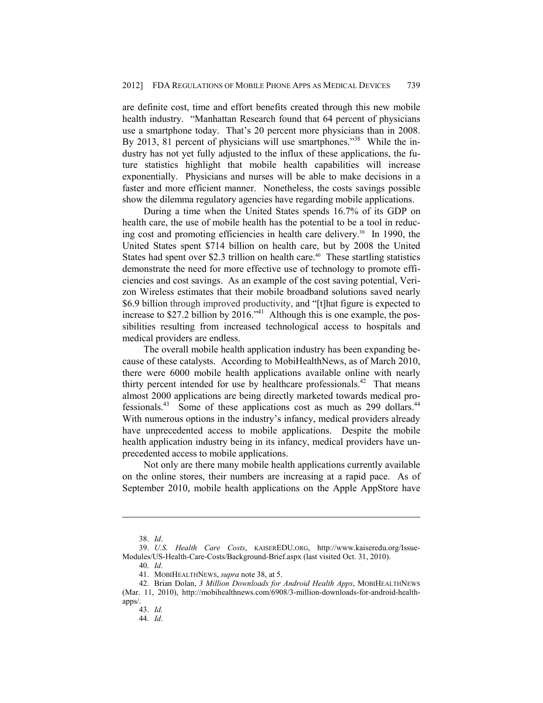are definite cost, time and effort benefits created through this new mobile health industry. "Manhattan Research found that 64 percent of physicians use a smartphone today. That's 20 percent more physicians than in 2008. By 2013, 81 percent of physicians will use smartphones."<sup>38</sup> While the industry has not yet fully adjusted to the influx of these applications, the future statistics highlight that mobile health capabilities will increase exponentially. Physicians and nurses will be able to make decisions in a faster and more efficient manner. Nonetheless, the costs savings possible show the dilemma regulatory agencies have regarding mobile applications.

During a time when the United States spends 16.7% of its GDP on health care, the use of mobile health has the potential to be a tool in reducing cost and promoting efficiencies in health care delivery.<sup>39</sup> In 1990, the United States spent \$714 billion on health care, but by 2008 the United States had spent over \$2.3 trillion on health care.<sup>40</sup> These startling statistics demonstrate the need for more effective use of technology to promote efficiencies and cost savings. As an example of the cost saving potential, Verizon Wireless estimates that their mobile broadband solutions saved nearly \$6.9 billion through improved productivity, and "[t]hat figure is expected to increase to \$27.2 billion by  $2016.^{41}$  Although this is one example, the possibilities resulting from increased technological access to hospitals and medical providers are endless.

The overall mobile health application industry has been expanding because of these catalysts. According to MobiHealthNews, as of March 2010, there were 6000 mobile health applications available online with nearly thirty percent intended for use by healthcare professionals.<sup>42</sup> That means almost 2000 applications are being directly marketed towards medical professionals.43 Some of these applications cost as much as 299 dollars.44 With numerous options in the industry's infancy, medical providers already have unprecedented access to mobile applications. Despite the mobile health application industry being in its infancy, medical providers have unprecedented access to mobile applications.

Not only are there many mobile health applications currently available on the online stores, their numbers are increasing at a rapid pace. As of September 2010, mobile health applications on the Apple AppStore have

 <sup>38.</sup> *Id*.

 <sup>39.</sup> *U.S. Health Care Costs*, KAISEREDU.ORG, http://www.kaiseredu.org/Issue-Modules/US-Health-Care-Costs/Background-Brief.aspx (last visited Oct. 31, 2010).

 <sup>40.</sup> *Id*.

 <sup>41.</sup> MOBIHEALTHNEWS, *supra* note 38, at 5.

 <sup>42.</sup> Brian Dolan, *3 Million Downloads for Android Health Apps*, MOBIHEALTHNEWS (Mar. 11, 2010), http://mobihealthnews.com/6908/3-million-downloads-for-android-healthapps/.

 <sup>43.</sup> *Id.*

 <sup>44.</sup> *Id*.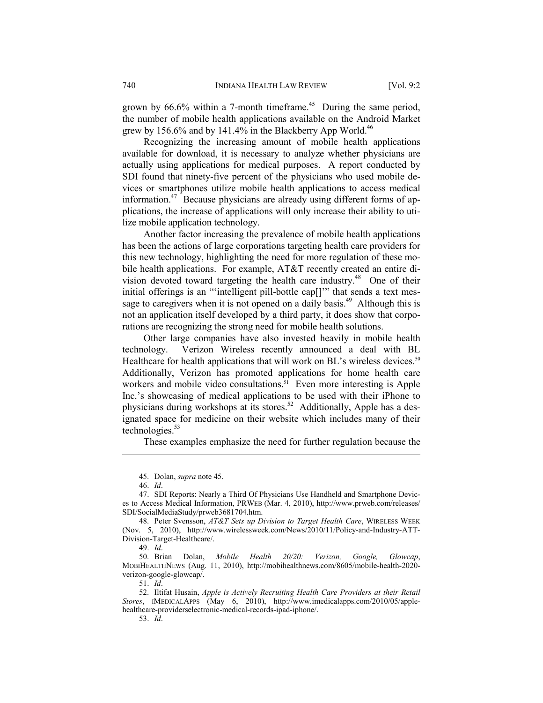grown by  $66.6\%$  within a 7-month timeframe.<sup>45</sup> During the same period, the number of mobile health applications available on the Android Market grew by 156.6% and by 141.4% in the Blackberry App World.<sup>46</sup>

Recognizing the increasing amount of mobile health applications available for download, it is necessary to analyze whether physicians are actually using applications for medical purposes. A report conducted by SDI found that ninety-five percent of the physicians who used mobile devices or smartphones utilize mobile health applications to access medical information.<sup>47</sup> Because physicians are already using different forms of applications, the increase of applications will only increase their ability to utilize mobile application technology.

Another factor increasing the prevalence of mobile health applications has been the actions of large corporations targeting health care providers for this new technology, highlighting the need for more regulation of these mobile health applications. For example, AT&T recently created an entire division devoted toward targeting the health care industry.<sup>48</sup> One of their initial offerings is an "'intelligent pill-bottle cap[]'" that sends a text message to caregivers when it is not opened on a daily basis.<sup>49</sup> Although this is not an application itself developed by a third party, it does show that corporations are recognizing the strong need for mobile health solutions.

Other large companies have also invested heavily in mobile health technology. Verizon Wireless recently announced a deal with BL Healthcare for health applications that will work on BL's wireless devices.<sup>50</sup> Additionally, Verizon has promoted applications for home health care workers and mobile video consultations.<sup>51</sup> Even more interesting is Apple Inc.'s showcasing of medical applications to be used with their iPhone to physicians during workshops at its stores.<sup>52</sup> Additionally, Apple has a designated space for medicine on their website which includes many of their technologies. $53$ 

These examples emphasize the need for further regulation because the

<u>.</u>

 50. Brian Dolan, *Mobile Health 20/20: Verizon, Google, Glowcap*, MOBIHEALTHNEWS (Aug. 11, 2010), http://mobihealthnews.com/8605/mobile-health-2020 verizon-google-glowcap/.

51. *Id*.

 <sup>45.</sup> Dolan, *supra* note 45.

 <sup>46.</sup> *Id*.

 <sup>47.</sup> SDI Reports: Nearly a Third Of Physicians Use Handheld and Smartphone Devices to Access Medical Information, PRWEB (Mar. 4, 2010), http://www.prweb.com/releases/ SDI/SocialMediaStudy/prweb3681704.htm.

 <sup>48.</sup> Peter Svensson, *AT&T Sets up Division to Target Health Care*, WIRELESS WEEK (Nov. 5, 2010), http://www.wirelessweek.com/News/2010/11/Policy-and-Industry-ATT-Division-Target-Healthcare/.

 <sup>49.</sup> *Id*.

 <sup>52.</sup> Iltifat Husain, *Apple is Actively Recruiting Health Care Providers at their Retail Stores*, IMEDICALAPPS (May 6, 2010), http://www.imedicalapps.com/2010/05/applehealthcare-providerselectronic-medical-records-ipad-iphone/.

 <sup>53.</sup> *Id*.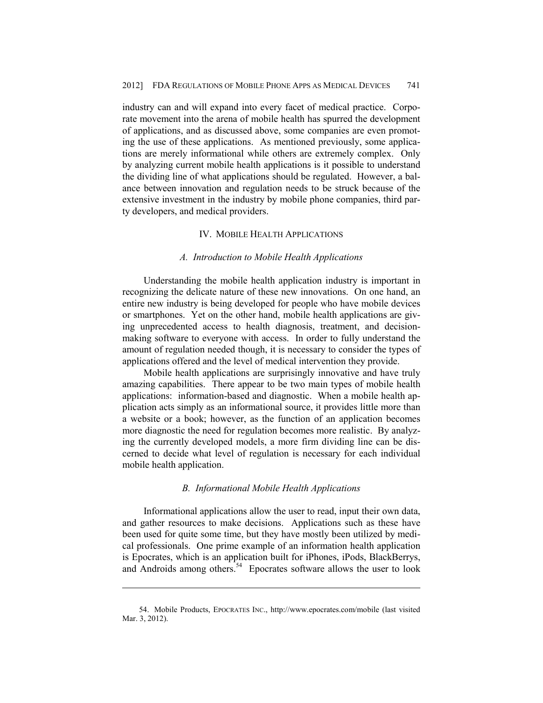industry can and will expand into every facet of medical practice. Corporate movement into the arena of mobile health has spurred the development of applications, and as discussed above, some companies are even promoting the use of these applications. As mentioned previously, some applications are merely informational while others are extremely complex. Only by analyzing current mobile health applications is it possible to understand the dividing line of what applications should be regulated. However, a balance between innovation and regulation needs to be struck because of the extensive investment in the industry by mobile phone companies, third party developers, and medical providers.

#### IV. MOBILE HEALTH APPLICATIONS

#### *A. Introduction to Mobile Health Applications*

Understanding the mobile health application industry is important in recognizing the delicate nature of these new innovations. On one hand, an entire new industry is being developed for people who have mobile devices or smartphones. Yet on the other hand, mobile health applications are giving unprecedented access to health diagnosis, treatment, and decisionmaking software to everyone with access. In order to fully understand the amount of regulation needed though, it is necessary to consider the types of applications offered and the level of medical intervention they provide.

Mobile health applications are surprisingly innovative and have truly amazing capabilities. There appear to be two main types of mobile health applications: information-based and diagnostic. When a mobile health application acts simply as an informational source, it provides little more than a website or a book; however, as the function of an application becomes more diagnostic the need for regulation becomes more realistic. By analyzing the currently developed models, a more firm dividing line can be discerned to decide what level of regulation is necessary for each individual mobile health application.

## *B. Informational Mobile Health Applications*

Informational applications allow the user to read, input their own data, and gather resources to make decisions. Applications such as these have been used for quite some time, but they have mostly been utilized by medical professionals. One prime example of an information health application is Epocrates, which is an application built for iPhones, iPods, BlackBerrys, and Androids among others.<sup>54</sup> Epocrates software allows the user to look

 <sup>54.</sup> Mobile Products, EPOCRATES INC., http://www.epocrates.com/mobile (last visited Mar. 3, 2012).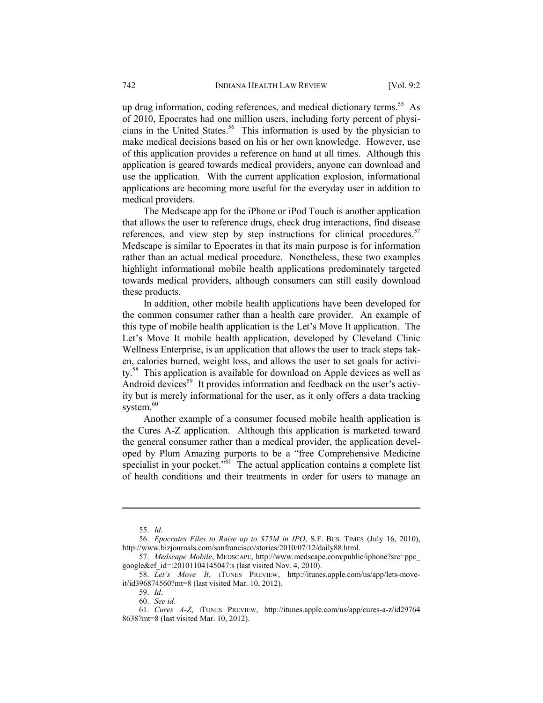up drug information, coding references, and medical dictionary terms.<sup>55</sup> As of 2010, Epocrates had one million users, including forty percent of physicians in the United States.<sup>56</sup> This information is used by the physician to make medical decisions based on his or her own knowledge. However, use of this application provides a reference on hand at all times. Although this application is geared towards medical providers, anyone can download and use the application. With the current application explosion, informational applications are becoming more useful for the everyday user in addition to medical providers.

The Medscape app for the iPhone or iPod Touch is another application that allows the user to reference drugs, check drug interactions, find disease references, and view step by step instructions for clinical procedures.<sup>57</sup> Medscape is similar to Epocrates in that its main purpose is for information rather than an actual medical procedure. Nonetheless, these two examples highlight informational mobile health applications predominately targeted towards medical providers, although consumers can still easily download these products.

In addition, other mobile health applications have been developed for the common consumer rather than a health care provider. An example of this type of mobile health application is the Let's Move It application. The Let's Move It mobile health application, developed by Cleveland Clinic Wellness Enterprise, is an application that allows the user to track steps taken, calories burned, weight loss, and allows the user to set goals for activity.<sup>58</sup> This application is available for download on Apple devices as well as Android devices<sup>59</sup> It provides information and feedback on the user's activity but is merely informational for the user, as it only offers a data tracking system.<sup>60</sup>

Another example of a consumer focused mobile health application is the Cures A-Z application. Although this application is marketed toward the general consumer rather than a medical provider, the application developed by Plum Amazing purports to be a "free Comprehensive Medicine specialist in your pocket. $\overline{5}^{61}$ . The actual application contains a complete list of health conditions and their treatments in order for users to manage an

<u>.</u>

59. *Id*.

60. *See id.*

 <sup>55.</sup> *Id*.

 <sup>56.</sup> *Epocrates Files to Raise up to \$75M in IPO*, S.F. BUS. TIMES (July 16, 2010), http://www.bizjournals.com/sanfrancisco/stories/2010/07/12/daily88.html.

 <sup>57.</sup> *Medscape Mobile*, MEDSCAPE, http://www.medscape.com/public/iphone?src=ppc\_ google&ef\_id=:20101104145047:s (last visited Nov. 4, 2010).

 <sup>58.</sup> *Let's Move It*, ITUNES PREVIEW, http://itunes.apple.com/us/app/lets-moveit/id396874560?mt=8 (last visited Mar. 10, 2012).

 <sup>61.</sup> *Cures A-Z*, ITUNES PREVIEW, http://itunes.apple.com/us/app/cures-a-z/id29764 8638?mt=8 (last visited Mar. 10, 2012).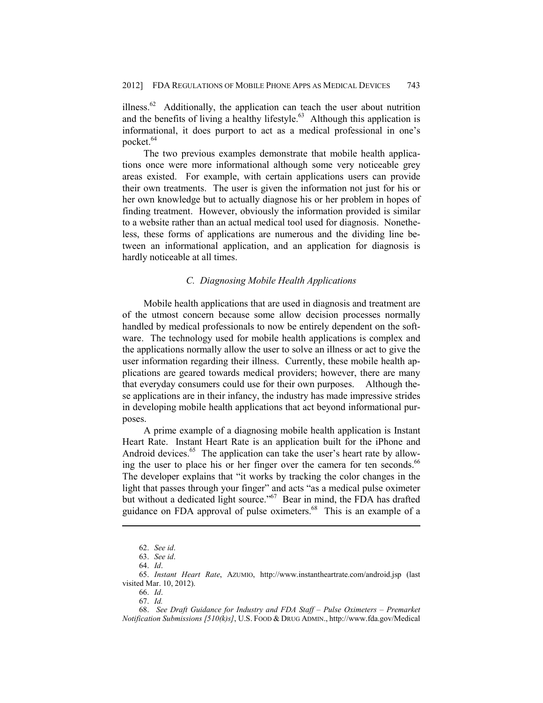illness.<sup>62</sup> Additionally, the application can teach the user about nutrition and the benefits of living a healthy lifestyle.<sup>63</sup> Although this application is informational, it does purport to act as a medical professional in one's pocket.<sup>64</sup>

The two previous examples demonstrate that mobile health applications once were more informational although some very noticeable grey areas existed. For example, with certain applications users can provide their own treatments. The user is given the information not just for his or her own knowledge but to actually diagnose his or her problem in hopes of finding treatment. However, obviously the information provided is similar to a website rather than an actual medical tool used for diagnosis. Nonetheless, these forms of applications are numerous and the dividing line between an informational application, and an application for diagnosis is hardly noticeable at all times.

## *C. Diagnosing Mobile Health Applications*

Mobile health applications that are used in diagnosis and treatment are of the utmost concern because some allow decision processes normally handled by medical professionals to now be entirely dependent on the software. The technology used for mobile health applications is complex and the applications normally allow the user to solve an illness or act to give the user information regarding their illness. Currently, these mobile health applications are geared towards medical providers; however, there are many that everyday consumers could use for their own purposes. Although these applications are in their infancy, the industry has made impressive strides in developing mobile health applications that act beyond informational purposes.

A prime example of a diagnosing mobile health application is Instant Heart Rate. Instant Heart Rate is an application built for the iPhone and Android devices. $65$  The application can take the user's heart rate by allowing the user to place his or her finger over the camera for ten seconds.<sup>66</sup> The developer explains that "it works by tracking the color changes in the light that passes through your finger" and acts "as a medical pulse oximeter but without a dedicated light source."<sup>67</sup> Bear in mind, the FDA has drafted guidance on FDA approval of pulse oximeters.<sup>68</sup> This is an example of a

 <sup>62.</sup> *See id*.

 <sup>63.</sup> *See id*.

 <sup>64.</sup> *Id*.

 <sup>65.</sup> *Instant Heart Rate*, AZUMIO, http://www.instantheartrate.com/android.jsp (last visited Mar. 10, 2012).

 <sup>66.</sup> *Id*.

 <sup>67.</sup> *Id.* 

 <sup>68.</sup> *See Draft Guidance for Industry and FDA Staff – Pulse Oximeters – Premarket Notification Submissions [510(k)s]*, U.S. FOOD & DRUG ADMIN., http://www.fda.gov/Medical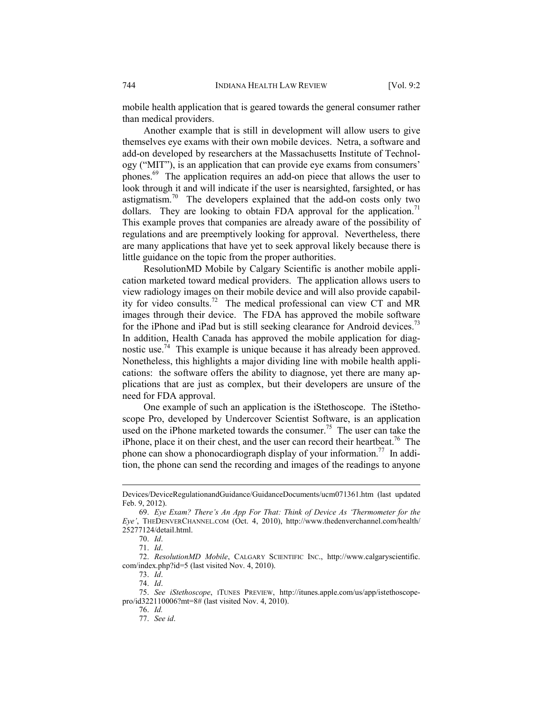mobile health application that is geared towards the general consumer rather than medical providers.

Another example that is still in development will allow users to give themselves eye exams with their own mobile devices. Netra, a software and add-on developed by researchers at the Massachusetts Institute of Technology ("MIT"), is an application that can provide eye exams from consumers' phones.69 The application requires an add-on piece that allows the user to look through it and will indicate if the user is nearsighted, farsighted, or has astigmatism.<sup>70</sup> The developers explained that the add-on costs only two dollars. They are looking to obtain FDA approval for the application.<sup>71</sup> This example proves that companies are already aware of the possibility of regulations and are preemptively looking for approval. Nevertheless, there are many applications that have yet to seek approval likely because there is little guidance on the topic from the proper authorities.

ResolutionMD Mobile by Calgary Scientific is another mobile application marketed toward medical providers. The application allows users to view radiology images on their mobile device and will also provide capability for video consults.72 The medical professional can view CT and MR images through their device. The FDA has approved the mobile software for the iPhone and iPad but is still seeking clearance for Android devices.<sup>73</sup> In addition, Health Canada has approved the mobile application for diagnostic use.<sup>74</sup> This example is unique because it has already been approved. Nonetheless, this highlights a major dividing line with mobile health applications: the software offers the ability to diagnose, yet there are many applications that are just as complex, but their developers are unsure of the need for FDA approval.

One example of such an application is the iStethoscope. The iStethoscope Pro, developed by Undercover Scientist Software, is an application used on the iPhone marketed towards the consumer.<sup>75</sup> The user can take the iPhone, place it on their chest, and the user can record their heartbeat.<sup>76</sup> The phone can show a phonocardiograph display of your information.<sup>77</sup> In addition, the phone can send the recording and images of the readings to anyone

1

73. *Id*.

74. *Id*.

Devices/DeviceRegulationandGuidance/GuidanceDocuments/ucm071361.htm (last updated Feb. 9, 2012).

 <sup>69.</sup> *Eye Exam? There's An App For That: Think of Device As 'Thermometer for the Eye'*, THEDENVERCHANNEL.COM (Oct. 4, 2010), http://www.thedenverchannel.com/health/ 25277124/detail.html.

 <sup>70.</sup> *Id*.

 <sup>71.</sup> *Id*.

 <sup>72.</sup> *ResolutionMD Mobile*, CALGARY SCIENTIFIC INC., http://www.calgaryscientific. com/index.php?id=5 (last visited Nov. 4, 2010).

 <sup>75.</sup> *See iStethoscope*, ITUNES PREVIEW, http://itunes.apple.com/us/app/istethoscopepro/id322110006?mt=8# (last visited Nov. 4, 2010).

 <sup>76.</sup> *Id.*

 <sup>77.</sup> *See id*.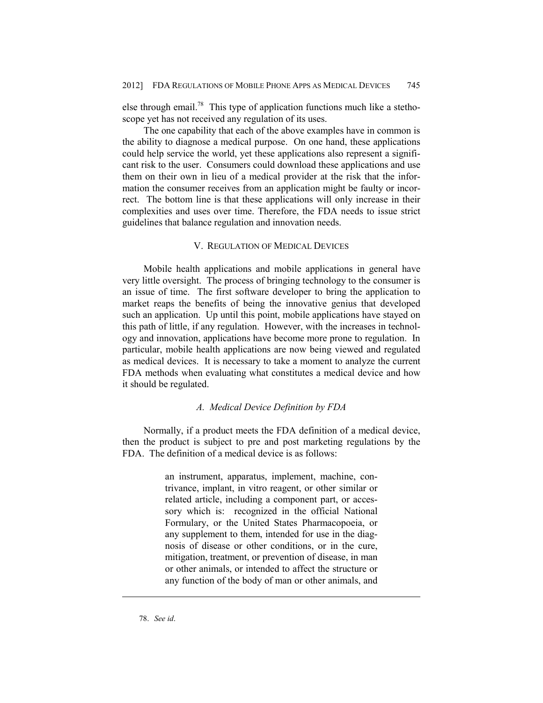else through email.78 This type of application functions much like a stethoscope yet has not received any regulation of its uses.

The one capability that each of the above examples have in common is the ability to diagnose a medical purpose. On one hand, these applications could help service the world, yet these applications also represent a significant risk to the user. Consumers could download these applications and use them on their own in lieu of a medical provider at the risk that the information the consumer receives from an application might be faulty or incorrect. The bottom line is that these applications will only increase in their complexities and uses over time. Therefore, the FDA needs to issue strict guidelines that balance regulation and innovation needs.

#### V. REGULATION OF MEDICAL DEVICES

Mobile health applications and mobile applications in general have very little oversight. The process of bringing technology to the consumer is an issue of time. The first software developer to bring the application to market reaps the benefits of being the innovative genius that developed such an application. Up until this point, mobile applications have stayed on this path of little, if any regulation. However, with the increases in technology and innovation, applications have become more prone to regulation. In particular, mobile health applications are now being viewed and regulated as medical devices. It is necessary to take a moment to analyze the current FDA methods when evaluating what constitutes a medical device and how it should be regulated.

### *A. Medical Device Definition by FDA*

Normally, if a product meets the FDA definition of a medical device, then the product is subject to pre and post marketing regulations by the FDA. The definition of a medical device is as follows:

> an instrument, apparatus, implement, machine, contrivance, implant, in vitro reagent, or other similar or related article, including a component part, or accessory which is: recognized in the official National Formulary, or the United States Pharmacopoeia, or any supplement to them, intended for use in the diagnosis of disease or other conditions, or in the cure, mitigation, treatment, or prevention of disease, in man or other animals, or intended to affect the structure or any function of the body of man or other animals, and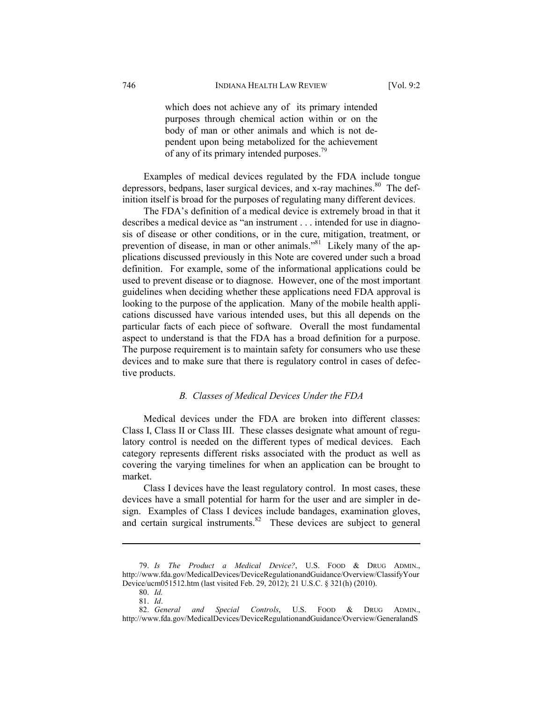which does not achieve any of its primary intended purposes through chemical action within or on the body of man or other animals and which is not dependent upon being metabolized for the achievement of any of its primary intended purposes.<sup>79</sup>

Examples of medical devices regulated by the FDA include tongue depressors, bedpans, laser surgical devices, and x-ray machines.<sup>80</sup> The definition itself is broad for the purposes of regulating many different devices.

The FDA's definition of a medical device is extremely broad in that it describes a medical device as "an instrument . . . intended for use in diagnosis of disease or other conditions, or in the cure, mitigation, treatment, or prevention of disease, in man or other animals."<sup>81</sup> Likely many of the applications discussed previously in this Note are covered under such a broad definition. For example, some of the informational applications could be used to prevent disease or to diagnose. However, one of the most important guidelines when deciding whether these applications need FDA approval is looking to the purpose of the application. Many of the mobile health applications discussed have various intended uses, but this all depends on the particular facts of each piece of software. Overall the most fundamental aspect to understand is that the FDA has a broad definition for a purpose. The purpose requirement is to maintain safety for consumers who use these devices and to make sure that there is regulatory control in cases of defective products.

### *B. Classes of Medical Devices Under the FDA*

Medical devices under the FDA are broken into different classes: Class I, Class II or Class III. These classes designate what amount of regulatory control is needed on the different types of medical devices. Each category represents different risks associated with the product as well as covering the varying timelines for when an application can be brought to market.

Class I devices have the least regulatory control. In most cases, these devices have a small potential for harm for the user and are simpler in design. Examples of Class I devices include bandages, examination gloves, and certain surgical instruments. $82$  These devices are subject to general

 <sup>79.</sup> *Is The Product a Medical Device?*, U.S. FOOD & DRUG ADMIN., http://www.fda.gov/MedicalDevices/DeviceRegulationandGuidance/Overview/ClassifyYour Device/ucm051512.htm (last visited Feb. 29, 2012); 21 U.S.C. § 321(h) (2010).

 <sup>80.</sup> *Id.*

 <sup>81.</sup> *Id*. and Special Controls, U.S. FOOD & DRUG ADMIN., http://www.fda.gov/MedicalDevices/DeviceRegulationandGuidance/Overview/GeneralandS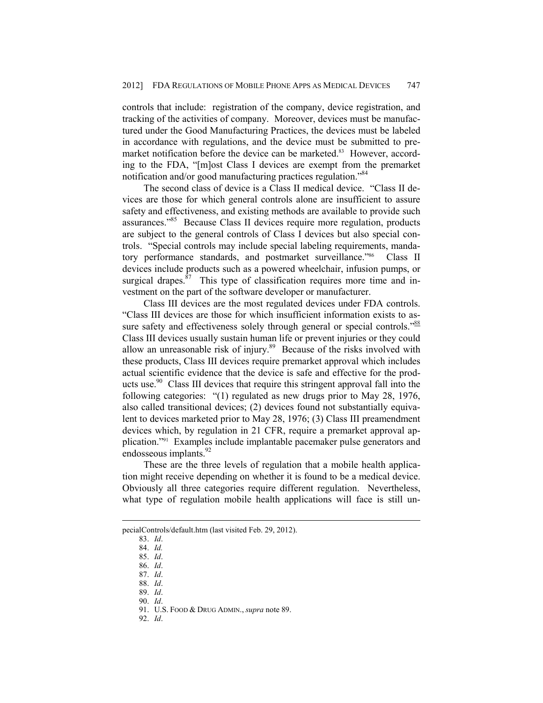controls that include: registration of the company, device registration, and tracking of the activities of company. Moreover, devices must be manufactured under the Good Manufacturing Practices, the devices must be labeled in accordance with regulations, and the device must be submitted to premarket notification before the device can be marketed.<sup>83</sup> However, according to the FDA, "[m]ost Class I devices are exempt from the premarket notification and/or good manufacturing practices regulation."84

The second class of device is a Class II medical device. "Class II devices are those for which general controls alone are insufficient to assure safety and effectiveness, and existing methods are available to provide such assurances."85 Because Class II devices require more regulation, products are subject to the general controls of Class I devices but also special controls. "Special controls may include special labeling requirements, mandatory performance standards, and postmarket surveillance."<sup>86</sup> Class II devices include products such as a powered wheelchair, infusion pumps, or surgical drapes. $87$  This type of classification requires more time and investment on the part of the software developer or manufacturer.

Class III devices are the most regulated devices under FDA controls. "Class III devices are those for which insufficient information exists to assure safety and effectiveness solely through general or special controls."<sup>88</sup> Class III devices usually sustain human life or prevent injuries or they could allow an unreasonable risk of injury.<sup>89</sup> Because of the risks involved with these products, Class III devices require premarket approval which includes actual scientific evidence that the device is safe and effective for the products use.<sup>90</sup> Class III devices that require this stringent approval fall into the following categories: "(1) regulated as new drugs prior to May 28, 1976, also called transitional devices; (2) devices found not substantially equivalent to devices marketed prior to May 28, 1976; (3) Class III preamendment devices which, by regulation in 21 CFR, require a premarket approval application."91 Examples include implantable pacemaker pulse generators and endosseous implants.<sup>92</sup>

These are the three levels of regulation that a mobile health application might receive depending on whether it is found to be a medical device. Obviously all three categories require different regulation. Nevertheless, what type of regulation mobile health applications will face is still un-

1

92. *Id*.

pecialControls/default.htm (last visited Feb. 29, 2012).

 <sup>83.</sup> *Id*.

 <sup>84.</sup> *Id.* 85. *Id*.

 <sup>86.</sup> *Id*.

 <sup>87.</sup> *Id*.

 <sup>88.</sup> *Id*.

 <sup>89.</sup> *Id*.

 <sup>90.</sup> *Id*.

 <sup>91.</sup> U.S. FOOD & DRUG ADMIN., *supra* note 89.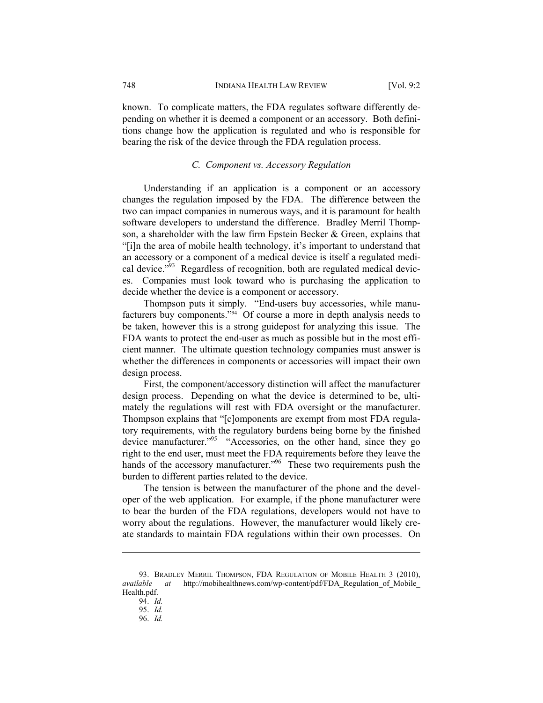known. To complicate matters, the FDA regulates software differently depending on whether it is deemed a component or an accessory. Both definitions change how the application is regulated and who is responsible for bearing the risk of the device through the FDA regulation process.

## *C. Component vs. Accessory Regulation*

Understanding if an application is a component or an accessory changes the regulation imposed by the FDA. The difference between the two can impact companies in numerous ways, and it is paramount for health software developers to understand the difference. Bradley Merril Thompson, a shareholder with the law firm Epstein Becker & Green, explains that "[i]n the area of mobile health technology, it's important to understand that an accessory or a component of a medical device is itself a regulated medical device."<sup>93</sup> Regardless of recognition, both are regulated medical devices. Companies must look toward who is purchasing the application to decide whether the device is a component or accessory.

Thompson puts it simply. "End-users buy accessories, while manufacturers buy components."94 Of course a more in depth analysis needs to be taken, however this is a strong guidepost for analyzing this issue. The FDA wants to protect the end-user as much as possible but in the most efficient manner. The ultimate question technology companies must answer is whether the differences in components or accessories will impact their own design process.

First, the component/accessory distinction will affect the manufacturer design process. Depending on what the device is determined to be, ultimately the regulations will rest with FDA oversight or the manufacturer. Thompson explains that "[c]omponents are exempt from most FDA regulatory requirements, with the regulatory burdens being borne by the finished device manufacturer."<sup>95</sup> "Accessories, on the other hand, since they go right to the end user, must meet the FDA requirements before they leave the hands of the accessory manufacturer.<sup>"96</sup> These two requirements push the burden to different parties related to the device.

The tension is between the manufacturer of the phone and the developer of the web application. For example, if the phone manufacturer were to bear the burden of the FDA regulations, developers would not have to worry about the regulations. However, the manufacturer would likely create standards to maintain FDA regulations within their own processes. On

 <sup>93.</sup> BRADLEY MERRIL THOMPSON, FDA REGULATION OF MOBILE HEALTH 3 (2010), *available at* http://mobihealthnews.com/wp-content/pdf/FDA Regulation of Mobile Health.pdf.

 <sup>94.</sup> *Id.*

 <sup>95.</sup> *Id.* 

 <sup>96.</sup> *Id.*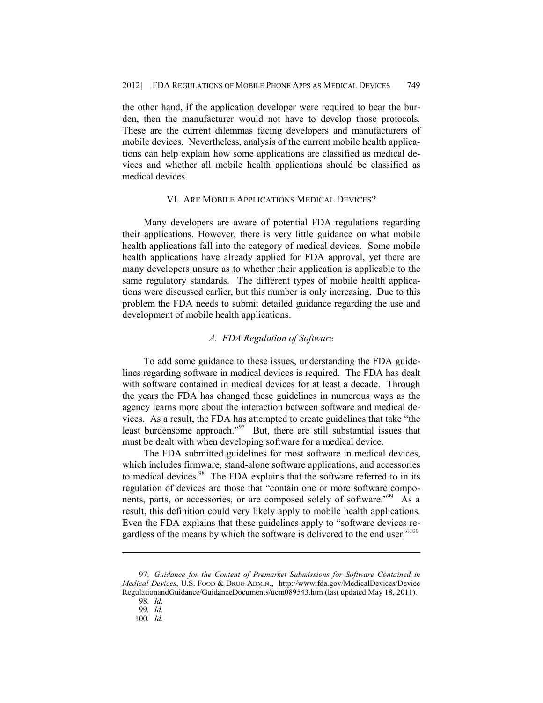the other hand, if the application developer were required to bear the burden, then the manufacturer would not have to develop those protocols. These are the current dilemmas facing developers and manufacturers of mobile devices. Nevertheless, analysis of the current mobile health applications can help explain how some applications are classified as medical devices and whether all mobile health applications should be classified as medical devices.

## VI. ARE MOBILE APPLICATIONS MEDICAL DEVICES?

Many developers are aware of potential FDA regulations regarding their applications. However, there is very little guidance on what mobile health applications fall into the category of medical devices. Some mobile health applications have already applied for FDA approval, yet there are many developers unsure as to whether their application is applicable to the same regulatory standards. The different types of mobile health applications were discussed earlier, but this number is only increasing. Due to this problem the FDA needs to submit detailed guidance regarding the use and development of mobile health applications.

## *A. FDA Regulation of Software*

To add some guidance to these issues, understanding the FDA guidelines regarding software in medical devices is required. The FDA has dealt with software contained in medical devices for at least a decade. Through the years the FDA has changed these guidelines in numerous ways as the agency learns more about the interaction between software and medical devices. As a result, the FDA has attempted to create guidelines that take "the least burdensome approach." $97$  But, there are still substantial issues that must be dealt with when developing software for a medical device.

The FDA submitted guidelines for most software in medical devices, which includes firmware, stand-alone software applications, and accessories to medical devices.<sup>98</sup> The FDA explains that the software referred to in its regulation of devices are those that "contain one or more software components, parts, or accessories, or are composed solely of software.<sup>"99</sup> As a result, this definition could very likely apply to mobile health applications. Even the FDA explains that these guidelines apply to "software devices regardless of the means by which the software is delivered to the end user."<sup>100</sup>

 <sup>97.</sup> *Guidance for the Content of Premarket Submissions for Software Contained in Medical Devices*, U.S. FOOD & DRUG ADMIN., http://www.fda.gov/MedicalDevices/Device RegulationandGuidance/GuidanceDocuments/ucm089543.htm (last updated May 18, 2011).

 <sup>98.</sup> *Id.*

<sup>99</sup>*. Id.*

<sup>100</sup>*. Id.*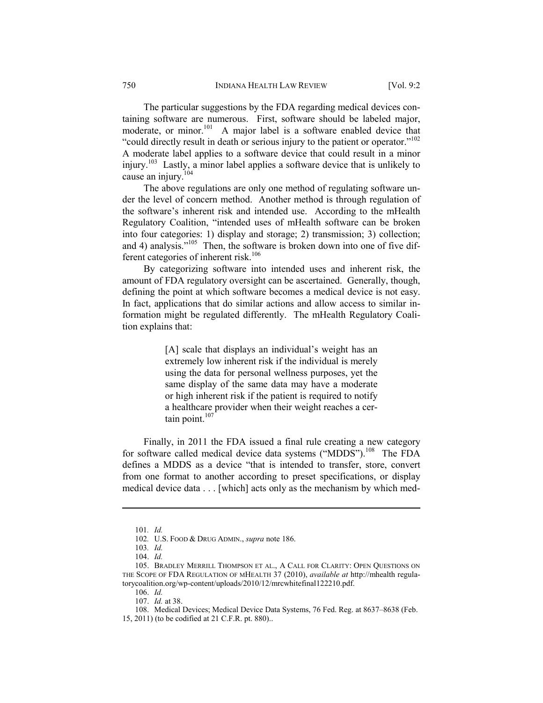The particular suggestions by the FDA regarding medical devices containing software are numerous. First, software should be labeled major, moderate, or minor.<sup>101</sup> A major label is a software enabled device that "could directly result in death or serious injury to the patient or operator."102 A moderate label applies to a software device that could result in a minor injury.103 Lastly, a minor label applies a software device that is unlikely to cause an injury.<sup>104</sup>

The above regulations are only one method of regulating software under the level of concern method. Another method is through regulation of the software's inherent risk and intended use. According to the mHealth Regulatory Coalition, "intended uses of mHealth software can be broken into four categories: 1) display and storage; 2) transmission; 3) collection; and 4) analysis."<sup>105</sup> Then, the software is broken down into one of five different categories of inherent risk.<sup>106</sup>

By categorizing software into intended uses and inherent risk, the amount of FDA regulatory oversight can be ascertained. Generally, though, defining the point at which software becomes a medical device is not easy. In fact, applications that do similar actions and allow access to similar information might be regulated differently. The mHealth Regulatory Coalition explains that:

> [A] scale that displays an individual's weight has an extremely low inherent risk if the individual is merely using the data for personal wellness purposes, yet the same display of the same data may have a moderate or high inherent risk if the patient is required to notify a healthcare provider when their weight reaches a certain point.<sup>107</sup>

Finally, in 2011 the FDA issued a final rule creating a new category for software called medical device data systems ("MDDS").<sup>108</sup> The FDA defines a MDDS as a device "that is intended to transfer, store, convert from one format to another according to preset specifications, or display medical device data . . . [which] acts only as the mechanism by which med-

<u>.</u>

106. *Id.*

<sup>101</sup>*. Id.* 

<sup>102</sup>*.* U.S. FOOD & DRUG ADMIN., *supra* note 186.

<sup>103</sup>*. Id.*

 <sup>104.</sup> *Id.*

 <sup>105.</sup> BRADLEY MERRILL THOMPSON ET AL., A CALL FOR CLARITY: OPEN QUESTIONS ON THE SCOPE OF FDA REGULATION OF MHEALTH 37 (2010), *available at* http://mhealth regulatorycoalition.org/wp-content/uploads/2010/12/mrcwhitefinal122210.pdf.

 <sup>107.</sup> *Id.* at 38.

 <sup>108.</sup> Medical Devices; Medical Device Data Systems, 76 Fed. Reg. at 8637–8638 (Feb. 15, 2011) (to be codified at 21 C.F.R. pt. 880)..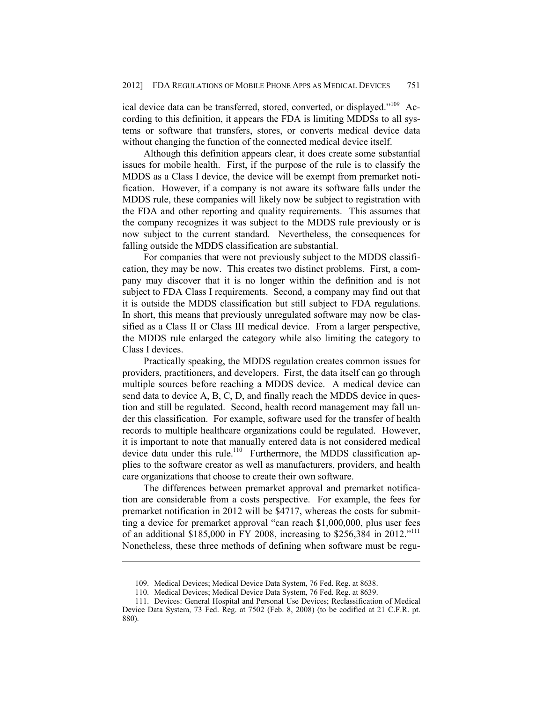ical device data can be transferred, stored, converted, or displayed."109 According to this definition, it appears the FDA is limiting MDDSs to all systems or software that transfers, stores, or converts medical device data without changing the function of the connected medical device itself.

Although this definition appears clear, it does create some substantial issues for mobile health. First, if the purpose of the rule is to classify the MDDS as a Class I device, the device will be exempt from premarket notification. However, if a company is not aware its software falls under the MDDS rule, these companies will likely now be subject to registration with the FDA and other reporting and quality requirements. This assumes that the company recognizes it was subject to the MDDS rule previously or is now subject to the current standard. Nevertheless, the consequences for falling outside the MDDS classification are substantial.

For companies that were not previously subject to the MDDS classification, they may be now. This creates two distinct problems. First, a company may discover that it is no longer within the definition and is not subject to FDA Class I requirements. Second, a company may find out that it is outside the MDDS classification but still subject to FDA regulations. In short, this means that previously unregulated software may now be classified as a Class II or Class III medical device. From a larger perspective, the MDDS rule enlarged the category while also limiting the category to Class I devices.

Practically speaking, the MDDS regulation creates common issues for providers, practitioners, and developers. First, the data itself can go through multiple sources before reaching a MDDS device. A medical device can send data to device A, B, C, D, and finally reach the MDDS device in question and still be regulated. Second, health record management may fall under this classification. For example, software used for the transfer of health records to multiple healthcare organizations could be regulated. However, it is important to note that manually entered data is not considered medical device data under this rule.<sup>110</sup> Furthermore, the MDDS classification applies to the software creator as well as manufacturers, providers, and health care organizations that choose to create their own software.

The differences between premarket approval and premarket notification are considerable from a costs perspective. For example, the fees for premarket notification in 2012 will be \$4717, whereas the costs for submitting a device for premarket approval "can reach \$1,000,000, plus user fees of an additional \$185,000 in FY 2008, increasing to \$256,384 in 2012."<sup>111</sup> Nonetheless, these three methods of defining when software must be regu-

 <sup>109.</sup> Medical Devices; Medical Device Data System, 76 Fed. Reg. at 8638.

 <sup>110.</sup> Medical Devices; Medical Device Data System, 76 Fed. Reg. at 8639.

 <sup>111.</sup> Devices: General Hospital and Personal Use Devices; Reclassification of Medical Device Data System, 73 Fed. Reg. at 7502 (Feb. 8, 2008) (to be codified at 21 C.F.R. pt. 880).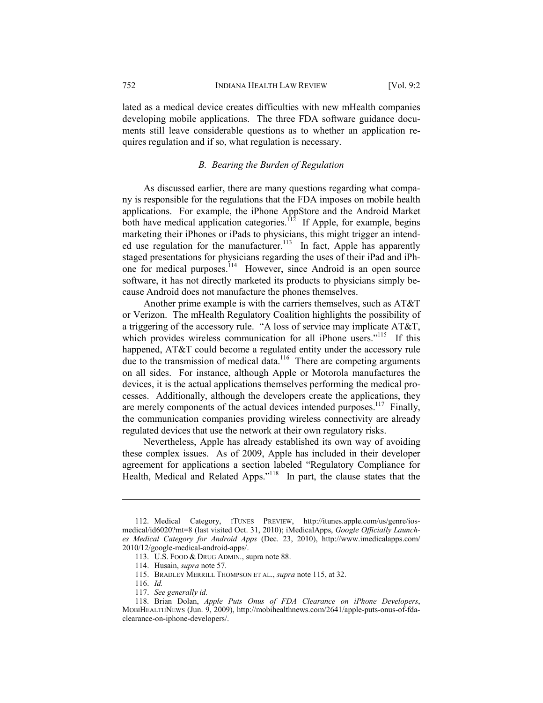lated as a medical device creates difficulties with new mHealth companies developing mobile applications. The three FDA software guidance documents still leave considerable questions as to whether an application requires regulation and if so, what regulation is necessary.

# *B. Bearing the Burden of Regulation*

As discussed earlier, there are many questions regarding what company is responsible for the regulations that the FDA imposes on mobile health applications. For example, the iPhone AppStore and the Android Market both have medical application categories.<sup>112</sup> If Apple, for example, begins marketing their iPhones or iPads to physicians, this might trigger an intended use regulation for the manufacturer.<sup>113</sup> In fact, Apple has apparently staged presentations for physicians regarding the uses of their iPad and iPhone for medical purposes.<sup>114</sup> However, since Android is an open source software, it has not directly marketed its products to physicians simply because Android does not manufacture the phones themselves.

Another prime example is with the carriers themselves, such as AT&T or Verizon. The mHealth Regulatory Coalition highlights the possibility of a triggering of the accessory rule. "A loss of service may implicate AT&T, which provides wireless communication for all iPhone users."<sup>115</sup> If this happened, AT&T could become a regulated entity under the accessory rule due to the transmission of medical data.<sup>116</sup> There are competing arguments on all sides. For instance, although Apple or Motorola manufactures the devices, it is the actual applications themselves performing the medical processes. Additionally, although the developers create the applications, they are merely components of the actual devices intended purposes.<sup>117</sup> Finally, the communication companies providing wireless connectivity are already regulated devices that use the network at their own regulatory risks.

Nevertheless, Apple has already established its own way of avoiding these complex issues. As of 2009, Apple has included in their developer agreement for applications a section labeled "Regulatory Compliance for Health, Medical and Related Apps."118 In part, the clause states that the

 <sup>112.</sup> Medical Category, ITUNES PREVIEW, http://itunes.apple.com/us/genre/iosmedical/id6020?mt=8 (last visited Oct. 31, 2010); iMedicalApps, *Google Officially Launches Medical Category for Android Apps* (Dec. 23, 2010), http://www.imedicalapps.com/ 2010/12/google-medical-android-apps/.

 <sup>113.</sup> U.S. FOOD & DRUG ADMIN., supra note 88.

 <sup>114.</sup> Husain, *supra* note 57.

 <sup>115.</sup> BRADLEY MERRILL THOMPSON ET AL., *supra* note 115, at 32.

 <sup>116.</sup> *Id.* 

 <sup>117.</sup> *See generally id.* 

 <sup>118.</sup> Brian Dolan, *Apple Puts Onus of FDA Clearance on iPhone Developers*, MOBIHEALTHNEWS (Jun. 9, 2009), http://mobihealthnews.com/2641/apple-puts-onus-of-fdaclearance-on-iphone-developers/.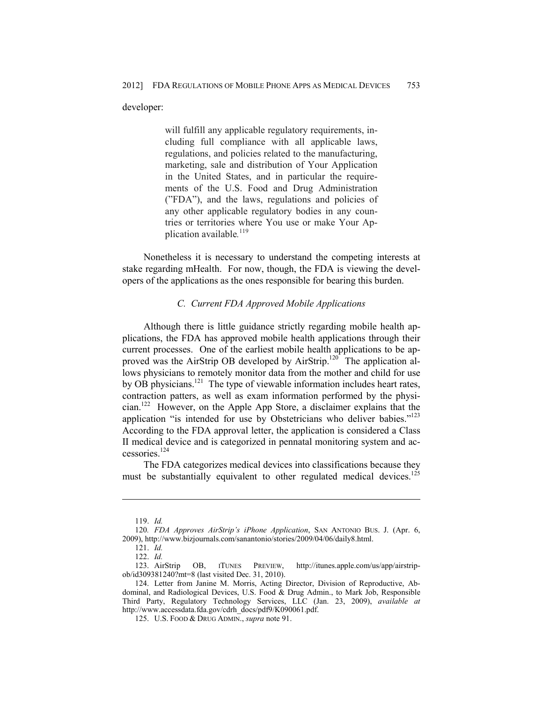developer:

will fulfill any applicable regulatory requirements, including full compliance with all applicable laws, regulations, and policies related to the manufacturing, marketing, sale and distribution of Your Application in the United States, and in particular the requirements of the U.S. Food and Drug Administration ("FDA"), and the laws, regulations and policies of any other applicable regulatory bodies in any countries or territories where You use or make Your Application available*.* 119

Nonetheless it is necessary to understand the competing interests at stake regarding mHealth. For now, though, the FDA is viewing the developers of the applications as the ones responsible for bearing this burden.

## *C. Current FDA Approved Mobile Applications*

Although there is little guidance strictly regarding mobile health applications, the FDA has approved mobile health applications through their current processes. One of the earliest mobile health applications to be approved was the AirStrip OB developed by AirStrip.<sup>120</sup> The application allows physicians to remotely monitor data from the mother and child for use by OB physicians.<sup>121</sup> The type of viewable information includes heart rates, contraction patters, as well as exam information performed by the physician.122 However, on the Apple App Store, a disclaimer explains that the application "is intended for use by Obstetricians who deliver babies."<sup>123</sup> According to the FDA approval letter, the application is considered a Class II medical device and is categorized in pennatal monitoring system and accessories.124

The FDA categorizes medical devices into classifications because they must be substantially equivalent to other regulated medical devices.<sup>125</sup>

 <sup>119.</sup> *Id.* 

<sup>120</sup>*. FDA Approves AirStrip's iPhone Application*, SAN ANTONIO BUS. J. (Apr. 6, 2009), http://www.bizjournals.com/sanantonio/stories/2009/04/06/daily8.html.

 <sup>121.</sup> *Id.* 

 <sup>122.</sup> *Id.*  0B, ITUNES PREVIEW, http://itunes.apple.com/us/app/airstripob/id309381240?mt=8 (last visited Dec. 31, 2010).

 <sup>124.</sup> Letter from Janine M. Morris, Acting Director, Division of Reproductive, Abdominal, and Radiological Devices, U.S. Food & Drug Admin., to Mark Job, Responsible Third Party, Regulatory Technology Services, LLC (Jan. 23, 2009), *available at*  http://www.accessdata.fda.gov/cdrh\_docs/pdf9/K090061.pdf.

 <sup>125.</sup> U.S. FOOD & DRUG ADMIN., *supra* note 91.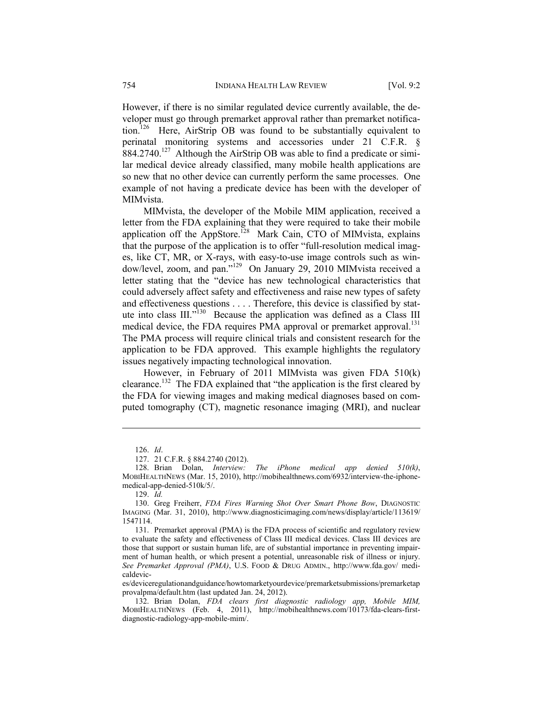However, if there is no similar regulated device currently available, the developer must go through premarket approval rather than premarket notification.<sup>126</sup> Here, AirStrip OB was found to be substantially equivalent to perinatal monitoring systems and accessories under 21 C.F.R. §  $884.2740$ <sup>127</sup> Although the AirStrip OB was able to find a predicate or similar medical device already classified, many mobile health applications are so new that no other device can currently perform the same processes. One example of not having a predicate device has been with the developer of MIMvista.

MIMvista, the developer of the Mobile MIM application, received a letter from the FDA explaining that they were required to take their mobile application off the AppStore.<sup>128</sup> Mark Cain, CTO of MIMvista, explains that the purpose of the application is to offer "full-resolution medical images, like CT, MR, or X-rays, with easy-to-use image controls such as window/level, zoom, and pan."<sup>129</sup> On January 29, 2010 MIMvista received a letter stating that the "device has new technological characteristics that could adversely affect safety and effectiveness and raise new types of safety and effectiveness questions . . . . Therefore, this device is classified by statute into class III."<sup>130</sup> Because the application was defined as a Class III medical device, the FDA requires PMA approval or premarket approval.<sup>131</sup> The PMA process will require clinical trials and consistent research for the application to be FDA approved. This example highlights the regulatory issues negatively impacting technological innovation.

However, in February of 2011 MIMvista was given FDA 510(k) clearance.132 The FDA explained that "the application is the first cleared by the FDA for viewing images and making medical diagnoses based on computed tomography (CT), magnetic resonance imaging (MRI), and nuclear

 <sup>126.</sup> *Id*.

 <sup>127. 21</sup> C.F.R. § 884.2740 (2012).

 <sup>128.</sup> Brian Dolan, *Interview: The iPhone medical app denied 510(k)*, MOBIHEALTHNEWS (Mar. 15, 2010), http://mobihealthnews.com/6932/interview-the-iphonemedical-app-denied-510k/5/.

 <sup>129.</sup> *Id.*

 <sup>130.</sup> Greg Freiherr, *FDA Fires Warning Shot Over Smart Phone Bow*, DIAGNOSTIC IMAGING (Mar. 31, 2010), http://www.diagnosticimaging.com/news/display/article/113619/ 1547114.

 <sup>131.</sup> Premarket approval (PMA) is the FDA process of scientific and regulatory review to evaluate the safety and effectiveness of Class III medical devices. Class III devices are those that support or sustain human life, are of substantial importance in preventing impairment of human health, or which present a potential, unreasonable risk of illness or injury. *See Premarket Approval (PMA)*, U.S. FOOD & DRUG ADMIN., http://www.fda.gov/ medicaldevic-

es/deviceregulationandguidance/howtomarketyourdevice/premarketsubmissions/premarketap provalpma/default.htm (last updated Jan. 24, 2012).

 <sup>132.</sup> Brian Dolan, *FDA clears first diagnostic radiology app, Mobile MIM,*  MOBIHEALTHNEWS (Feb. 4, 2011), http://mobihealthnews.com/10173/fda-clears-firstdiagnostic-radiology-app-mobile-mim/.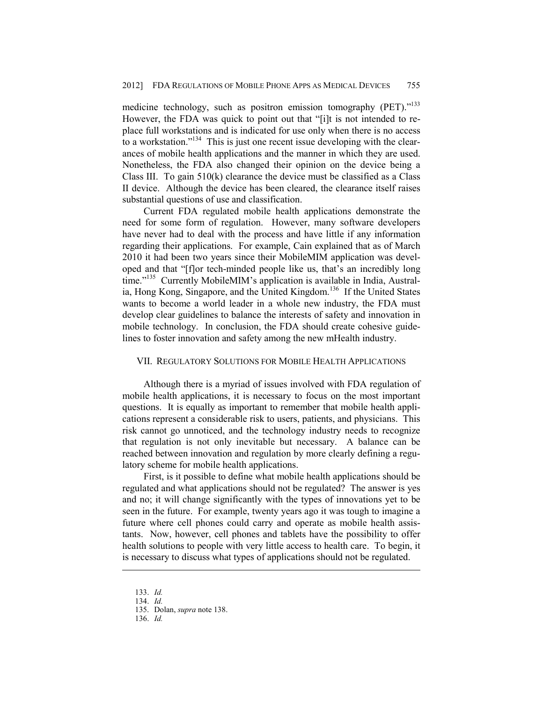medicine technology, such as positron emission tomography (PET)."<sup>133</sup> However, the FDA was quick to point out that "[i]t is not intended to replace full workstations and is indicated for use only when there is no access to a workstation."<sup>134</sup> This is just one recent issue developing with the clearances of mobile health applications and the manner in which they are used. Nonetheless, the FDA also changed their opinion on the device being a Class III. To gain 510(k) clearance the device must be classified as a Class II device. Although the device has been cleared, the clearance itself raises substantial questions of use and classification.

Current FDA regulated mobile health applications demonstrate the need for some form of regulation. However, many software developers have never had to deal with the process and have little if any information regarding their applications. For example, Cain explained that as of March 2010 it had been two years since their MobileMIM application was developed and that "[f]or tech-minded people like us, that's an incredibly long time."<sup>135</sup> Currently MobileMIM's application is available in India, Australia, Hong Kong, Singapore, and the United Kingdom.<sup>136</sup> If the United States wants to become a world leader in a whole new industry, the FDA must develop clear guidelines to balance the interests of safety and innovation in mobile technology. In conclusion, the FDA should create cohesive guidelines to foster innovation and safety among the new mHealth industry.

## VII. REGULATORY SOLUTIONS FOR MOBILE HEALTH APPLICATIONS

Although there is a myriad of issues involved with FDA regulation of mobile health applications, it is necessary to focus on the most important questions. It is equally as important to remember that mobile health applications represent a considerable risk to users, patients, and physicians. This risk cannot go unnoticed, and the technology industry needs to recognize that regulation is not only inevitable but necessary. A balance can be reached between innovation and regulation by more clearly defining a regulatory scheme for mobile health applications.

First, is it possible to define what mobile health applications should be regulated and what applications should not be regulated? The answer is yes and no; it will change significantly with the types of innovations yet to be seen in the future. For example, twenty years ago it was tough to imagine a future where cell phones could carry and operate as mobile health assistants. Now, however, cell phones and tablets have the possibility to offer health solutions to people with very little access to health care. To begin, it is necessary to discuss what types of applications should not be regulated.

 <sup>133.</sup> *Id.* 

 <sup>134.</sup> *Id.*

 <sup>135.</sup> Dolan, *supra* note 138.

 <sup>136.</sup> *Id.*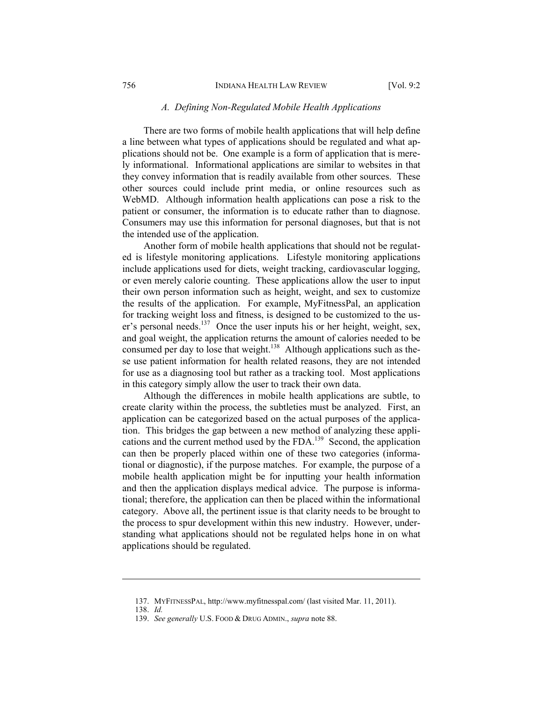#### *A. Defining Non-Regulated Mobile Health Applications*

There are two forms of mobile health applications that will help define a line between what types of applications should be regulated and what applications should not be. One example is a form of application that is merely informational. Informational applications are similar to websites in that they convey information that is readily available from other sources. These other sources could include print media, or online resources such as WebMD. Although information health applications can pose a risk to the patient or consumer, the information is to educate rather than to diagnose. Consumers may use this information for personal diagnoses, but that is not the intended use of the application.

Another form of mobile health applications that should not be regulated is lifestyle monitoring applications. Lifestyle monitoring applications include applications used for diets, weight tracking, cardiovascular logging, or even merely calorie counting. These applications allow the user to input their own person information such as height, weight, and sex to customize the results of the application. For example, MyFitnessPal, an application for tracking weight loss and fitness, is designed to be customized to the user's personal needs.<sup>137</sup> Once the user inputs his or her height, weight, sex, and goal weight, the application returns the amount of calories needed to be consumed per day to lose that weight.<sup>138</sup> Although applications such as these use patient information for health related reasons, they are not intended for use as a diagnosing tool but rather as a tracking tool. Most applications in this category simply allow the user to track their own data.

Although the differences in mobile health applications are subtle, to create clarity within the process, the subtleties must be analyzed. First, an application can be categorized based on the actual purposes of the application. This bridges the gap between a new method of analyzing these applications and the current method used by the FDA.139 Second, the application can then be properly placed within one of these two categories (informational or diagnostic), if the purpose matches. For example, the purpose of a mobile health application might be for inputting your health information and then the application displays medical advice. The purpose is informational; therefore, the application can then be placed within the informational category. Above all, the pertinent issue is that clarity needs to be brought to the process to spur development within this new industry. However, understanding what applications should not be regulated helps hone in on what applications should be regulated.

 <sup>137.</sup> MYFITNESSPAL, http://www.myfitnesspal.com/ (last visited Mar. 11, 2011).

 <sup>138.</sup> *Id.*

 <sup>139.</sup> *See generally* U.S. FOOD & DRUG ADMIN., *supra* note 88.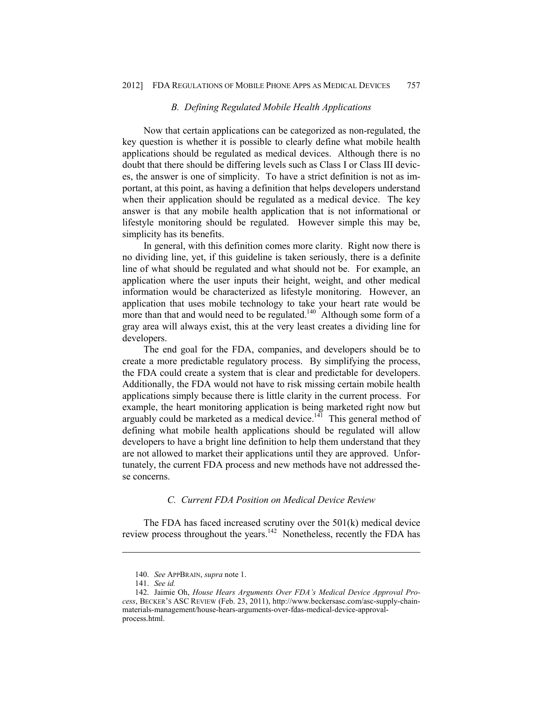#### *B. Defining Regulated Mobile Health Applications*

Now that certain applications can be categorized as non-regulated, the key question is whether it is possible to clearly define what mobile health applications should be regulated as medical devices. Although there is no doubt that there should be differing levels such as Class I or Class III devices, the answer is one of simplicity. To have a strict definition is not as important, at this point, as having a definition that helps developers understand when their application should be regulated as a medical device. The key answer is that any mobile health application that is not informational or lifestyle monitoring should be regulated. However simple this may be, simplicity has its benefits.

In general, with this definition comes more clarity. Right now there is no dividing line, yet, if this guideline is taken seriously, there is a definite line of what should be regulated and what should not be. For example, an application where the user inputs their height, weight, and other medical information would be characterized as lifestyle monitoring. However, an application that uses mobile technology to take your heart rate would be more than that and would need to be regulated.<sup>140</sup> Although some form of a gray area will always exist, this at the very least creates a dividing line for developers.

The end goal for the FDA, companies, and developers should be to create a more predictable regulatory process. By simplifying the process, the FDA could create a system that is clear and predictable for developers. Additionally, the FDA would not have to risk missing certain mobile health applications simply because there is little clarity in the current process. For example, the heart monitoring application is being marketed right now but arguably could be marketed as a medical device.<sup>141</sup> This general method of defining what mobile health applications should be regulated will allow developers to have a bright line definition to help them understand that they are not allowed to market their applications until they are approved. Unfortunately, the current FDA process and new methods have not addressed these concerns.

#### *C. Current FDA Position on Medical Device Review*

The FDA has faced increased scrutiny over the 501(k) medical device review process throughout the years.<sup>142</sup> Nonetheless, recently the FDA has

 <sup>140.</sup> *See* APPBRAIN, *supra* note 1.

 <sup>141.</sup> *See id.* 

 <sup>142.</sup> Jaimie Oh, *House Hears Arguments Over FDA's Medical Device Approval Process*, BECKER'S ASC REVIEW (Feb. 23, 2011), http://www.beckersasc.com/asc-supply-chainmaterials-management/house-hears-arguments-over-fdas-medical-device-approvalprocess.html.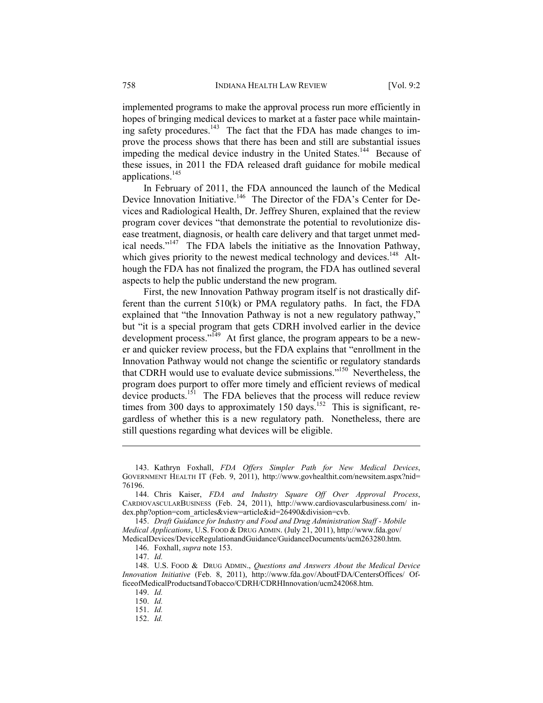implemented programs to make the approval process run more efficiently in hopes of bringing medical devices to market at a faster pace while maintaining safety procedures.<sup>143</sup> The fact that the FDA has made changes to improve the process shows that there has been and still are substantial issues impeding the medical device industry in the United States.<sup>144</sup> Because of these issues, in 2011 the FDA released draft guidance for mobile medical applications.145

In February of 2011, the FDA announced the launch of the Medical Device Innovation Initiative.<sup>146</sup> The Director of the FDA's Center for Devices and Radiological Health, Dr. Jeffrey Shuren, explained that the review program cover devices "that demonstrate the potential to revolutionize disease treatment, diagnosis, or health care delivery and that target unmet medical needs."147 The FDA labels the initiative as the Innovation Pathway, which gives priority to the newest medical technology and devices.<sup>148</sup> Although the FDA has not finalized the program, the FDA has outlined several aspects to help the public understand the new program.

First, the new Innovation Pathway program itself is not drastically different than the current 510(k) or PMA regulatory paths. In fact, the FDA explained that "the Innovation Pathway is not a new regulatory pathway," but "it is a special program that gets CDRH involved earlier in the device development process."<sup>149</sup> At first glance, the program appears to be a newer and quicker review process, but the FDA explains that "enrollment in the Innovation Pathway would not change the scientific or regulatory standards that CDRH would use to evaluate device submissions."150 Nevertheless, the program does purport to offer more timely and efficient reviews of medical device products.<sup>151</sup> The FDA believes that the process will reduce review times from 300 days to approximately 150 days.<sup>152</sup> This is significant, regardless of whether this is a new regulatory path. Nonetheless, there are still questions regarding what devices will be eligible.

147. *Id.*

1

150. *Id.*

 <sup>143.</sup> Kathryn Foxhall, *FDA Offers Simpler Path for New Medical Devices*, GOVERNMENT HEALTH IT (Feb. 9, 2011), http://www.govhealthit.com/newsitem.aspx?nid= 76196.

 <sup>144.</sup> Chris Kaiser, *FDA and Industry Square Off Over Approval Process*, CARDIOVASCULARBUSINESS (Feb. 24, 2011), http://www.cardiovascularbusiness.com/ index.php?option=com\_articles&view=article&id=26490&division=cvb.

 <sup>145.</sup> *Draft Guidance for Industry and Food and Drug Administration Staff - Mobile Medical Applications*, U.S. FOOD & DRUG ADMIN. (July 21, 2011), http://www.fda.gov/ MedicalDevices/DeviceRegulationandGuidance/GuidanceDocuments/ucm263280.htm.

 <sup>146.</sup> Foxhall, *supra* note 153.

 <sup>148.</sup> U.S. FOOD & DRUG ADMIN., *Questions and Answers About the Medical Device Innovation Initiative* (Feb. 8, 2011), http://www.fda.gov/AboutFDA/CentersOffices/ OfficeofMedicalProductsandTobacco/CDRH/CDRHInnovation/ucm242068.htm.

 <sup>149.</sup> *Id.* 

 <sup>151.</sup> *Id.*

 <sup>152.</sup> *Id.*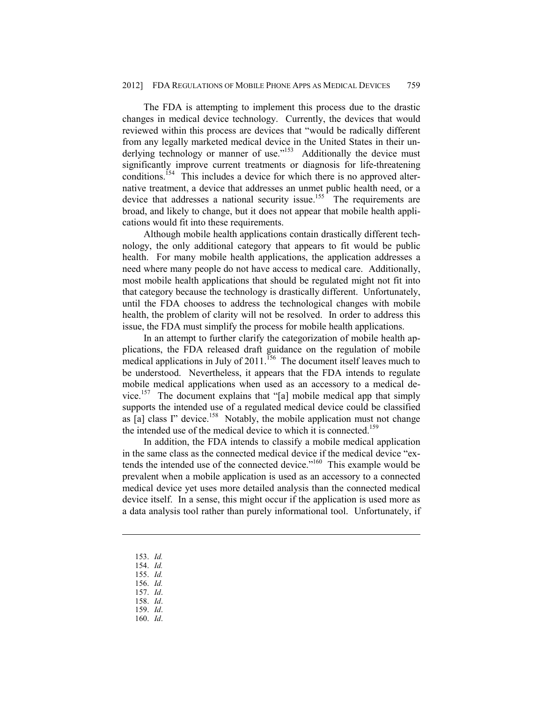The FDA is attempting to implement this process due to the drastic changes in medical device technology. Currently, the devices that would reviewed within this process are devices that "would be radically different from any legally marketed medical device in the United States in their underlying technology or manner of use."<sup>153</sup> Additionally the device must significantly improve current treatments or diagnosis for life-threatening conditions.<sup>154</sup> This includes a device for which there is no approved alternative treatment, a device that addresses an unmet public health need, or a device that addresses a national security issue.<sup>155</sup> The requirements are broad, and likely to change, but it does not appear that mobile health applications would fit into these requirements.

Although mobile health applications contain drastically different technology, the only additional category that appears to fit would be public health. For many mobile health applications, the application addresses a need where many people do not have access to medical care. Additionally, most mobile health applications that should be regulated might not fit into that category because the technology is drastically different. Unfortunately, until the FDA chooses to address the technological changes with mobile health, the problem of clarity will not be resolved. In order to address this issue, the FDA must simplify the process for mobile health applications.

In an attempt to further clarify the categorization of mobile health applications, the FDA released draft guidance on the regulation of mobile medical applications in July of 2011.<sup>156</sup> The document itself leaves much to be understood. Nevertheless, it appears that the FDA intends to regulate mobile medical applications when used as an accessory to a medical device.<sup>157</sup> The document explains that "[a] mobile medical app that simply supports the intended use of a regulated medical device could be classified as  $[a]$  class I" device.<sup>158</sup> Notably, the mobile application must not change the intended use of the medical device to which it is connected.<sup>159</sup>

In addition, the FDA intends to classify a mobile medical application in the same class as the connected medical device if the medical device "extends the intended use of the connected device."160 This example would be prevalent when a mobile application is used as an accessory to a connected medical device yet uses more detailed analysis than the connected medical device itself. In a sense, this might occur if the application is used more as a data analysis tool rather than purely informational tool. Unfortunately, if

153. *Id.* 

- 154. *Id.*
- 155. *Id.*
- 156. *Id.*
- 157. *Id*.
- 158. *Id*. 159. *Id*.
- 160. *Id*.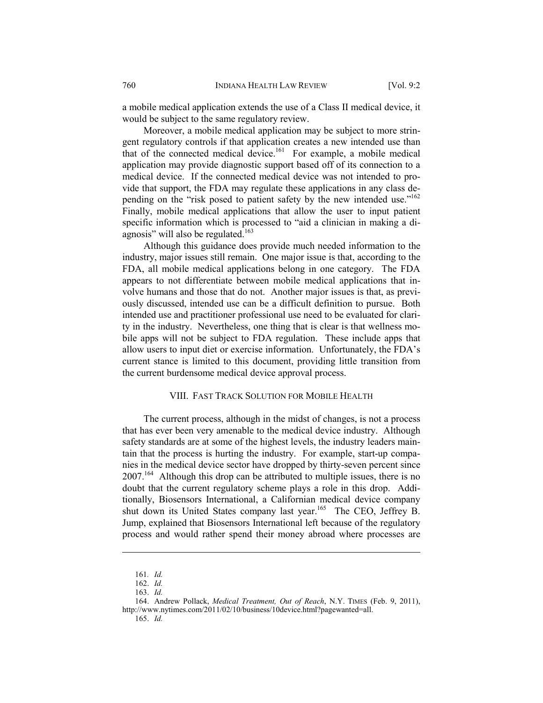a mobile medical application extends the use of a Class II medical device, it would be subject to the same regulatory review.

Moreover, a mobile medical application may be subject to more stringent regulatory controls if that application creates a new intended use than that of the connected medical device.<sup>161</sup> For example, a mobile medical application may provide diagnostic support based off of its connection to a medical device. If the connected medical device was not intended to provide that support, the FDA may regulate these applications in any class depending on the "risk posed to patient safety by the new intended use."<sup>162</sup> Finally, mobile medical applications that allow the user to input patient specific information which is processed to "aid a clinician in making a diagnosis" will also be regulated. $163$ 

Although this guidance does provide much needed information to the industry, major issues still remain. One major issue is that, according to the FDA, all mobile medical applications belong in one category. The FDA appears to not differentiate between mobile medical applications that involve humans and those that do not. Another major issues is that, as previously discussed, intended use can be a difficult definition to pursue. Both intended use and practitioner professional use need to be evaluated for clarity in the industry. Nevertheless, one thing that is clear is that wellness mobile apps will not be subject to FDA regulation. These include apps that allow users to input diet or exercise information. Unfortunately, the FDA's current stance is limited to this document, providing little transition from the current burdensome medical device approval process.

### VIII. FAST TRACK SOLUTION FOR MOBILE HEALTH

The current process, although in the midst of changes, is not a process that has ever been very amenable to the medical device industry. Although safety standards are at some of the highest levels, the industry leaders maintain that the process is hurting the industry. For example, start-up companies in the medical device sector have dropped by thirty-seven percent since 2007.164 Although this drop can be attributed to multiple issues, there is no doubt that the current regulatory scheme plays a role in this drop. Additionally, Biosensors International, a Californian medical device company shut down its United States company last year.<sup>165</sup> The CEO, Jeffrey B. Jump, explained that Biosensors International left because of the regulatory process and would rather spend their money abroad where processes are

<sup>161</sup>*. Id.* 

 <sup>162.</sup> *Id.*

 <sup>163.</sup> *Id.*

 <sup>164.</sup> Andrew Pollack, *Medical Treatment, Out of Reach*, N.Y. TIMES (Feb. 9, 2011), http://www.nytimes.com/2011/02/10/business/10device.html?pagewanted=all.

 <sup>165.</sup> *Id.*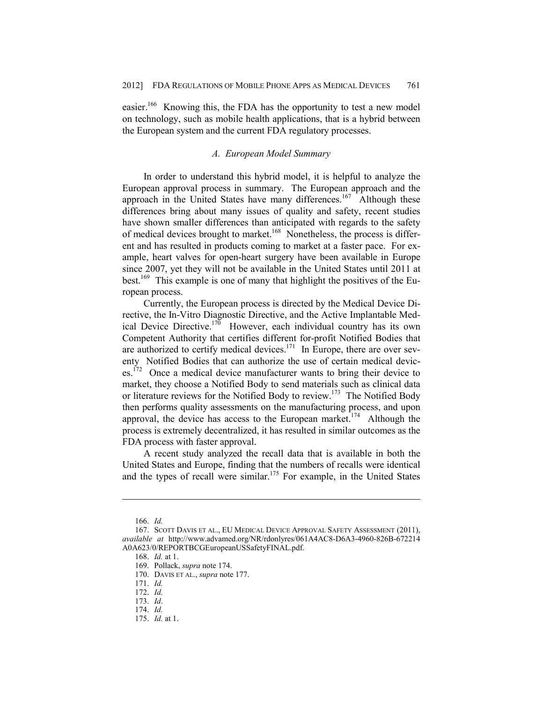easier.166 Knowing this, the FDA has the opportunity to test a new model on technology, such as mobile health applications, that is a hybrid between the European system and the current FDA regulatory processes.

## *A. European Model Summary*

In order to understand this hybrid model, it is helpful to analyze the European approval process in summary. The European approach and the approach in the United States have many differences.<sup>167</sup> Although these differences bring about many issues of quality and safety, recent studies have shown smaller differences than anticipated with regards to the safety of medical devices brought to market.<sup>168</sup> Nonetheless, the process is different and has resulted in products coming to market at a faster pace. For example, heart valves for open-heart surgery have been available in Europe since 2007, yet they will not be available in the United States until 2011 at best.<sup>169</sup> This example is one of many that highlight the positives of the European process.

Currently, the European process is directed by the Medical Device Directive, the In-Vitro Diagnostic Directive, and the Active Implantable Medical Device Directive.<sup>170</sup> However, each individual country has its own Competent Authority that certifies different for-profit Notified Bodies that are authorized to certify medical devices.<sup>171</sup> In Europe, there are over seventy Notified Bodies that can authorize the use of certain medical devic- $\text{e}^{\text{e}$ .<sup>172</sup> Once a medical device manufacturer wants to bring their device to market, they choose a Notified Body to send materials such as clinical data or literature reviews for the Notified Body to review.<sup>173</sup> The Notified Body then performs quality assessments on the manufacturing process, and upon approval, the device has access to the European market.<sup>174</sup> Although the process is extremely decentralized, it has resulted in similar outcomes as the FDA process with faster approval.

A recent study analyzed the recall data that is available in both the United States and Europe, finding that the numbers of recalls were identical and the types of recall were similar.<sup>175</sup> For example, in the United States

 <sup>166.</sup> *Id.* 

 <sup>167.</sup> SCOTT DAVIS ET AL., EU MEDICAL DEVICE APPROVAL SAFETY ASSESSMENT (2011), *available at* http://www.advamed.org/NR/rdonlyres/061A4AC8-D6A3-4960-826B-672214 A0A623/0/REPORTBCGEuropeanUSSafetyFINAL.pdf.

 <sup>168.</sup> *Id.* at 1.

 <sup>169.</sup> Pollack, *supra* note 174.

 <sup>170.</sup> DAVIS ET AL., *supra* note 177.

 <sup>171.</sup> *Id.* 

 <sup>172.</sup> *Id.* 

 <sup>173.</sup> *Id*.

 <sup>174.</sup> *Id.*

 <sup>175.</sup> *Id.* at 1.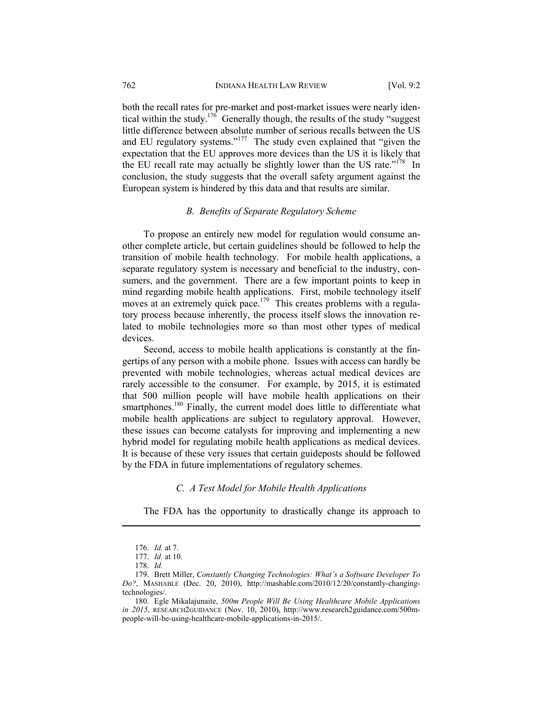both the recall rates for pre-market and post-market issues were nearly identical within the study.<sup>176</sup> Generally though, the results of the study "suggest" little difference between absolute number of serious recalls between the US and EU regulatory systems."<sup>177</sup> The study even explained that "given the expectation that the EU approves more devices than the US it is likely that the EU recall rate may actually be slightly lower than the US rate.<sup> $178$ </sup> In conclusion, the study suggests that the overall safety argument against the European system is hindered by this data and that results are similar.

## *B. Benefits of Separate Regulatory Scheme*

To propose an entirely new model for regulation would consume another complete article, but certain guidelines should be followed to help the transition of mobile health technology. For mobile health applications, a separate regulatory system is necessary and beneficial to the industry, consumers, and the government. There are a few important points to keep in mind regarding mobile health applications. First, mobile technology itself moves at an extremely quick pace.<sup>179</sup> This creates problems with a regulatory process because inherently, the process itself slows the innovation related to mobile technologies more so than most other types of medical devices.

Second, access to mobile health applications is constantly at the fingertips of any person with a mobile phone. Issues with access can hardly be prevented with mobile technologies, whereas actual medical devices are rarely accessible to the consumer. For example, by 2015, it is estimated that 500 million people will have mobile health applications on their smartphones.<sup>180</sup> Finally, the current model does little to differentiate what mobile health applications are subject to regulatory approval. However, these issues can become catalysts for improving and implementing a new hybrid model for regulating mobile health applications as medical devices. It is because of these very issues that certain guideposts should be followed by the FDA in future implementations of regulatory schemes.

# *C. A Test Model for Mobile Health Applications*

The FDA has the opportunity to drastically change its approach to

 <sup>176.</sup> *Id.* at 7.

 <sup>177.</sup> *Id.* at 10.

 <sup>178.</sup> *Id.*

 <sup>179.</sup> Brett Miller, *Constantly Changing Technologies: What's a Software Developer To Do?*, MASHABLE (Dec. 20, 2010), http://mashable.com/2010/12/20/constantly-changingtechnologies/.

 <sup>180.</sup> Egle Mikalajunaite, *500m People Will Be Using Healthcare Mobile Applications in 2015*, RESEARCH2GUIDANCE (Nov. 10, 2010), http://www.research2guidance.com/500mpeople-will-be-using-healthcare-mobile-applications-in-2015/.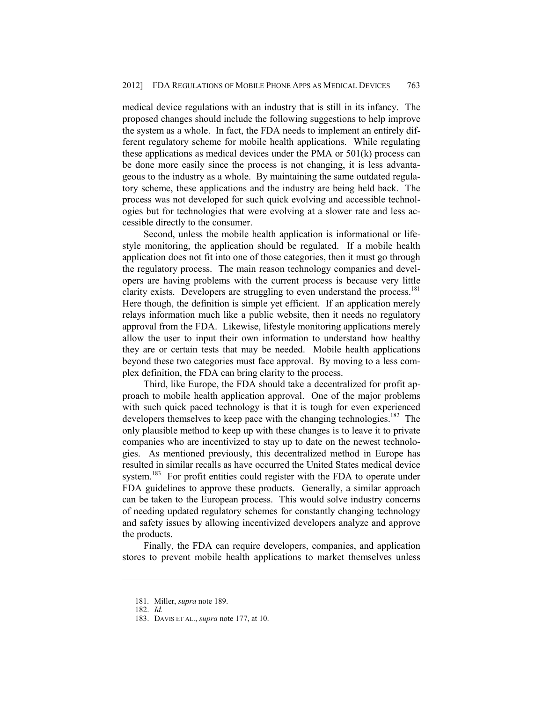medical device regulations with an industry that is still in its infancy. The proposed changes should include the following suggestions to help improve the system as a whole. In fact, the FDA needs to implement an entirely different regulatory scheme for mobile health applications. While regulating these applications as medical devices under the PMA or 501(k) process can be done more easily since the process is not changing, it is less advantageous to the industry as a whole. By maintaining the same outdated regulatory scheme, these applications and the industry are being held back. The process was not developed for such quick evolving and accessible technologies but for technologies that were evolving at a slower rate and less accessible directly to the consumer.

Second, unless the mobile health application is informational or lifestyle monitoring, the application should be regulated. If a mobile health application does not fit into one of those categories, then it must go through the regulatory process. The main reason technology companies and developers are having problems with the current process is because very little clarity exists. Developers are struggling to even understand the process.<sup>181</sup> Here though, the definition is simple yet efficient. If an application merely relays information much like a public website, then it needs no regulatory approval from the FDA. Likewise, lifestyle monitoring applications merely allow the user to input their own information to understand how healthy they are or certain tests that may be needed. Mobile health applications beyond these two categories must face approval. By moving to a less complex definition, the FDA can bring clarity to the process.

Third, like Europe, the FDA should take a decentralized for profit approach to mobile health application approval. One of the major problems with such quick paced technology is that it is tough for even experienced developers themselves to keep pace with the changing technologies.<sup>182</sup> The only plausible method to keep up with these changes is to leave it to private companies who are incentivized to stay up to date on the newest technologies. As mentioned previously, this decentralized method in Europe has resulted in similar recalls as have occurred the United States medical device system.<sup>183</sup> For profit entities could register with the FDA to operate under FDA guidelines to approve these products. Generally, a similar approach can be taken to the European process. This would solve industry concerns of needing updated regulatory schemes for constantly changing technology and safety issues by allowing incentivized developers analyze and approve the products.

Finally, the FDA can require developers, companies, and application stores to prevent mobile health applications to market themselves unless

 <sup>181.</sup> Miller, *supra* note 189.

 <sup>182.</sup> *Id.*

 <sup>183.</sup> DAVIS ET AL., *supra* note 177, at 10.